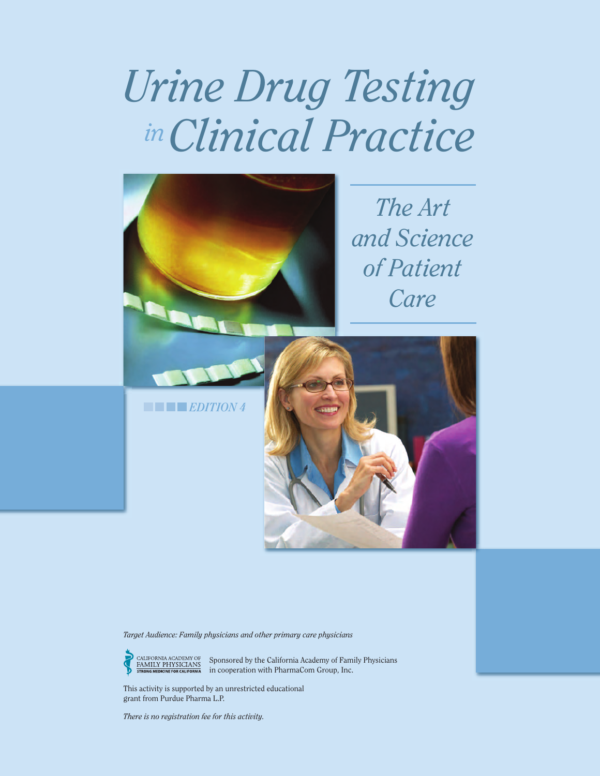# *Urine Drug Testing Clinical Practice in*



*The Art and Science of Patient Care*

*EDITION 4*



*Target Audience: Family physicians and other primary care physicians*

Sponsored by the California Academy of Family Physicians in cooperation with PharmaCom Group, Inc.

This activity is supported by an unrestricted educational grant from Purdue Pharma L.P.

*There is no registration fee for this activity.*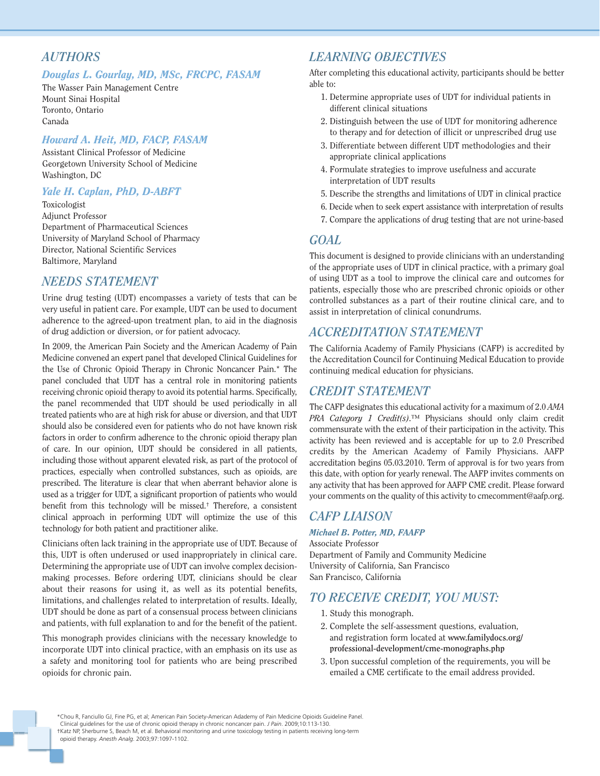#### *AUTHORS*

#### *Douglas L. Gourlay, MD, MSc, FRCPC, FASAM*

The Wasser Pain Management Centre Mount Sinai Hospital Toronto, Ontario Canada

#### *Howard A. Heit, MD, FACP, FASAM*

Assistant Clinical Professor of Medicine Georgetown University School of Medicine Washington, DC

#### *Yale H. Caplan, PhD, D-ABFT*

Toxicologist Adjunct Professor Department of Pharmaceutical Sciences University of Maryland School of Pharmacy Director, National Scientific Services Baltimore, Maryland

#### *NEEDS STATEMENT*

Urine drug testing (UDT) encompasses a variety of tests that can be very useful in patient care. For example, UDT can be used to document adherence to the agreed-upon treatment plan, to aid in the diagnosis of drug addiction or diversion, or for patient advocacy.

In 2009, the American Pain Society and the American Academy of Pain Medicine convened an expert panel that developed Clinical Guidelines for the Use of Chronic Opioid Therapy in Chronic Noncancer Pain.\* The panel concluded that UDT has a central role in monitoring patients receiving chronic opioid therapy to avoid its potential harms. Specifically, the panel recommended that UDT should be used periodically in all treated patients who are at high risk for abuse or diversion, and that UDT should also be considered even for patients who do not have known risk factors in order to confirm adherence to the chronic opioid therapy plan of care. In our opinion, UDT should be considered in all patients, including those without apparent elevated risk, as part of the protocol of practices, especially when controlled substances, such as opioids, are prescribed. The literature is clear that when aberrant behavior alone is used as a trigger for UDT, a significant proportion of patients who would benefit from this technology will be missed.† Therefore, a consistent clinical approach in performing UDT will optimize the use of this technology for both patient and practitioner alike.

Clinicians often lack training in the appropriate use of UDT. Because of this, UDT is often underused or used inappropriately in clinical care. Determining the appropriate use of UDT can involve complex decisionmaking processes. Before ordering UDT, clinicians should be clear about their reasons for using it, as well as its potential benefits, limitations, and challenges related to interpretation of results. Ideally, UDT should be done as part of a consensual process between clinicians and patients, with full explanation to and for the benefit of the patient.

This monograph provides clinicians with the necessary knowledge to incorporate UDT into clinical practice, with an emphasis on its use as a safety and monitoring tool for patients who are being prescribed opioids for chronic pain.

#### *LEARNING OBJECTIVES*

After completing this educational activity, participants should be better able to:

- 1. Determine appropriate uses of UDT for individual patients in different clinical situations
- 2. Distinguish between the use of UDT for monitoring adherence to therapy and for detection of illicit or unprescribed drug use
- 3. Differentiate between different UDT methodologies and their appropriate clinical applications
- 4. Formulate strategies to improve usefulness and accurate interpretation of UDT results
- 5. Describe the strengths and limitations of UDT in clinical practice
- 6. Decide when to seek expert assistance with interpretation of results
- 7. Compare the applications of drug testing that are not urine-based

#### *GOAL*

This document is designed to provide clinicians with an understanding of the appropriate uses of UDT in clinical practice, with a primary goal of using UDT as a tool to improve the clinical care and outcomes for patients, especially those who are prescribed chronic opioids or other controlled substances as a part of their routine clinical care, and to assist in interpretation of clinical conundrums.

#### *ACCREDITATION STATEMENT*

The California Academy of Family Physicians (CAFP) is accredited by the Accreditation Council for Continuing Medical Education to provide continuing medical education for physicians.

#### *CREDIT STATEMENT*

The CAFP designates this educational activity for a maximum of 2.0 *AMA PRA Category 1 Credit(s)*.™ Physicians should only claim credit commensurate with the extent of their participation in the activity. This activity has been reviewed and is acceptable for up to 2.0 Prescribed credits by the American Academy of Family Physicians. AAFP accreditation begins 05.03.2010. Term of approval is for two years from this date, with option for yearly renewal. The AAFP invites comments on any activity that has been approved for AAFP CME credit. Please forward your comments on the quality of this activity to cmecomment@aafp.org.

#### *CAFP LIAISON*

#### *Michael B. Potter, MD, FAAFP*

Associate Professor Department of Family and Community Medicine University of California, San Francisco San Francisco, California

#### *TO RECEIVE CREDIT, YOU MUST:*

- 1. Study this monograph.
- 2. Complete the self-assessment questions, evaluation, and registration form located at **www.familydocs.org/ [professional-development/cme-monographs.php](http://www.familydocs.org/professional-development/cme-monographs.php)**
- 3. Upon successful completion of the requirements, you will be emailed a CME certificate to the email address provided.

\*Chou R, Fanciullo GJ, Fine PG, et al; American Pain Society-American Adademy of Pain Medicine Opioids Guideline Panel. Clinical guidelines for the use of chronic opioid therapy in chronic noncancer pain. *J Pain*. 2009;10:113-130. †Katz NP, Sherburne S, Beach M, et al. Behavioral monitoring and urine toxicology testing in patients receiving long-term opioid therapy. *Anesth Analg*. 2003;97:1097-1102.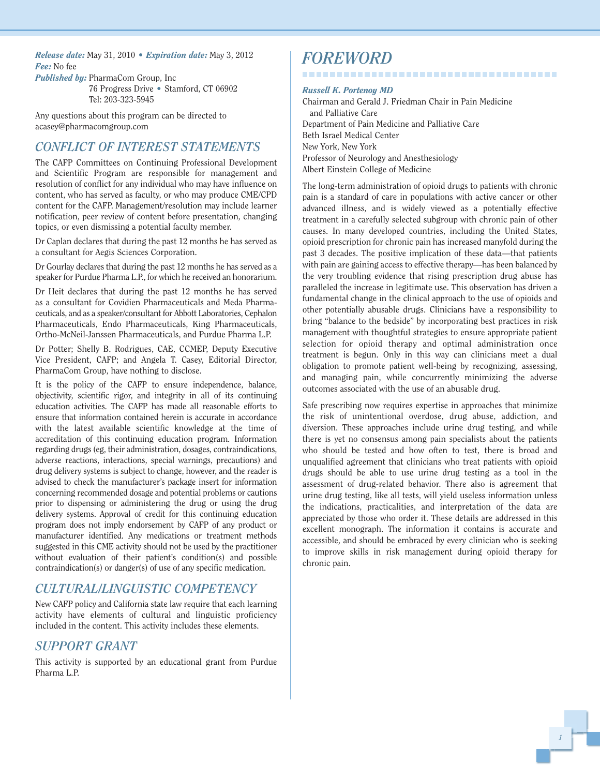*Release date:* May 31, 2010 *• Expiration date:* May 3, 2012 *Fee:* No fee

*Published by:* PharmaCom Group, Inc 76 Progress Drive *•* Stamford, CT 06902 Tel: 203-323-5945

Any questions about this program can be directed to acasey@pharmacomgroup.com

#### *CONFLICT OF INTEREST STATEMENTS*

The CAFP Committees on Continuing Professional Development and Scientific Program are responsible for management and resolution of conflict for any individual who may have influence on content, who has served as faculty, or who may produce CME/CPD content for the CAFP. Management/resolution may include learner notification, peer review of content before presentation, changing topics, or even dismissing a potential faculty member.

Dr Caplan declares that during the past 12 months he has served as a consultant for Aegis Sciences Corporation.

Dr Gourlay declares that during the past 12 months he has served as a speaker for Purdue Pharma L.P., for which he received an honorarium.

Dr Heit declares that during the past 12 months he has served as a consultant for Covidien Pharmaceuticals and Meda Pharmaceuticals, and as a speaker/consultant for Abbott Laboratories, Cephalon Pharmaceuticals, Endo Pharmaceuticals, King Pharmaceuticals, Ortho-McNeil-Janssen Pharmaceuticals, and Purdue Pharma L.P.

Dr Potter; Shelly B. Rodrigues, CAE, CCMEP, Deputy Executive Vice President, CAFP; and Angela T. Casey, Editorial Director, PharmaCom Group, have nothing to disclose.

It is the policy of the CAFP to ensure independence, balance, objectivity, scientific rigor, and integrity in all of its continuing education activities. The CAFP has made all reasonable efforts to ensure that information contained herein is accurate in accordance with the latest available scientific knowledge at the time of accreditation of this continuing education program. Information regarding drugs (eg, their administration, dosages, contraindications, adverse reactions, interactions, special warnings, precautions) and drug delivery systems is subject to change, however, and the reader is advised to check the manufacturer's package insert for information concerning recommended dosage and potential problems or cautions prior to dispensing or administering the drug or using the drug delivery systems. Approval of credit for this continuing education program does not imply endorsement by CAFP of any product or manufacturer identified. Any medications or treatment methods suggested in this CME activity should not be used by the practitioner without evaluation of their patient's condition(s) and possible contraindication(s) or danger(s) of use of any specific medication.

#### *CULTURAL/LINGUISTIC COMPETENCY*

New CAFP policy and California state law require that each learning activity have elements of cultural and linguistic proficiency included in the content. This activity includes these elements.

#### *SUPPORT GRANT*

This activity is supported by an educational grant from Purdue Pharma L.P.

## *FOREWORD*

#### *Russell K. Portenoy MD*

Chairman and Gerald J. Friedman Chair in Pain Medicine and Palliative Care Department of Pain Medicine and Palliative Care Beth Israel Medical Center New York, New York Professor of Neurology and Anesthesiology Albert Einstein College of Medicine

--------------------------------------

The long-term administration of opioid drugs to patients with chronic pain is a standard of care in populations with active cancer or other advanced illness, and is widely viewed as a potentially effective treatment in a carefully selected subgroup with chronic pain of other causes. In many developed countries, including the United States, opioid prescription for chronic pain has increased manyfold during the past 3 decades. The positive implication of these data—that patients with pain are gaining access to effective therapy—has been balanced by the very troubling evidence that rising prescription drug abuse has paralleled the increase in legitimate use. This observation has driven a fundamental change in the clinical approach to the use of opioids and other potentially abusable drugs. Clinicians have a responsibility to bring "balance to the bedside" by incorporating best practices in risk management with thoughtful strategies to ensure appropriate patient selection for opioid therapy and optimal administration once treatment is begun. Only in this way can clinicians meet a dual obligation to promote patient well-being by recognizing, assessing, and managing pain, while concurrently minimizing the adverse outcomes associated with the use of an abusable drug.

Safe prescribing now requires expertise in approaches that minimize the risk of unintentional overdose, drug abuse, addiction, and diversion. These approaches include urine drug testing, and while there is yet no consensus among pain specialists about the patients who should be tested and how often to test, there is broad and unqualified agreement that clinicians who treat patients with opioid drugs should be able to use urine drug testing as a tool in the assessment of drug-related behavior. There also is agreement that urine drug testing, like all tests, will yield useless information unless the indications, practicalities, and interpretation of the data are appreciated by those who order it. These details are addressed in this excellent monograph. The information it contains is accurate and accessible, and should be embraced by every clinician who is seeking to improve skills in risk management during opioid therapy for chronic pain.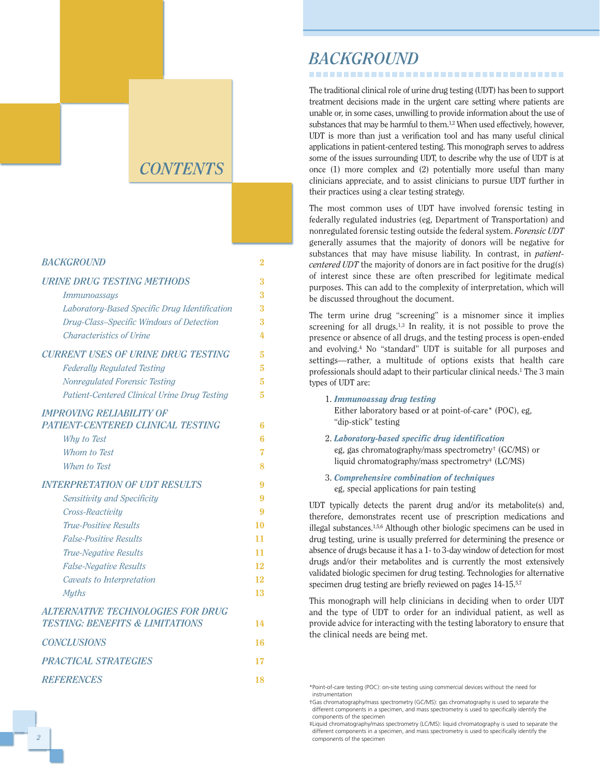## *CONTENTS*

| <b>BACKGROUND</b>                                                                      | 2  |
|----------------------------------------------------------------------------------------|----|
| <b>URINE DRUG TESTING METHODS</b>                                                      | 3  |
| <i>Immunoassays</i>                                                                    | 3  |
| Laboratory-Based Specific Drug Identification                                          | 3  |
| Drug-Class-Specific Windows of Detection                                               | 3  |
| <b>Characteristics of Urine</b>                                                        | 4  |
| <b>CURRENT USES OF URINE DRUG TESTING</b>                                              | 5  |
| <b>Federally Regulated Testing</b>                                                     | 5  |
| <b>Nonregulated Forensic Testing</b>                                                   | 5  |
| Patient-Centered Clinical Urine Drug Testing                                           | 5  |
| <b>IMPROVING RELIABILITY OF</b>                                                        |    |
| <b>PATIENT-CENTERED CLINICAL TESTING</b>                                               | 6  |
| Why to Test                                                                            | 6  |
| Whom to Test                                                                           | 7  |
| When to Test                                                                           | 8  |
| <b>INTERPRETATION OF UDT RESULTS</b>                                                   | 9  |
| Sensitivity and Specificity                                                            | 9  |
| Cross-Reactivity                                                                       | 9  |
| <b>True-Positive Results</b>                                                           | 10 |
| <b>False-Positive Results</b>                                                          | 11 |
| <b>True-Negative Results</b>                                                           | 11 |
| <b>False-Negative Results</b>                                                          | 12 |
| Caveats to Interpretation                                                              | 12 |
| <b>Myths</b>                                                                           | 13 |
| <b>ALTERNATIVE TECHNOLOGIES FOR DRUG</b><br><b>TESTING: BENEFITS &amp; LIMITATIONS</b> | 14 |
| <b>CONCLUSIONS</b>                                                                     | 16 |
| <b>PRACTICAL STRATEGIES</b>                                                            | 17 |
| <b>REFERENCES</b>                                                                      | 18 |

#### *BACKGROUND*

The traditional clinical role of urine drug testing (UDT) has been to support treatment decisions made in the urgent care setting where patients are unable or, in some cases, unwilling to provide information about the use of substances that may be harmful to them.<sup>1,2</sup> When used effectively, however, UDT is more than just a verification tool and has many useful clinical applications in patient-centered testing. This monograph serves to address some of the issues surrounding UDT, to describe why the use of UDT is at once (1) more complex and (2) potentially more useful than many clinicians appreciate, and to assist clinicians to pursue UDT further in their practices using a clear testing strategy.

The most common uses of UDT have involved forensic testing in federally regulated industries (eg, Department of Transportation) and nonregulated forensic testing outside the federal system. *Forensic UDT* generally assumes that the majority of donors will be negative for substances that may have misuse liability. In contrast, in *patientcentered UDT* the majority of donors are in fact positive for the drug(s) of interest since these are often prescribed for legitimate medical purposes. This can add to the complexity of interpretation, which will be discussed throughout the document.

The term urine drug "screening" is a misnomer since it implies screening for all drugs. $1,3$  In reality, it is not possible to prove the presence or absence of all drugs, and the testing process is open-ended and evolving.4 No "standard" UDT is suitable for all purposes and settings—rather, a multitude of options exists that health care professionals should adapt to their particular clinical needs.<sup>1</sup> The 3 main types of UDT are:

- 1. *Immunoassay drug testing* Either laboratory based or at point-of-care\* (POC), eg, "dip-stick" testing
- 2. *Laboratory-based specific drug identification* eg, gas chromatography/mass spectrometry† (GC/MS) or liquid chromatography/mass spectrometry<sup>#</sup> (LC/MS)
- 3. *Comprehensive combination of techniques* eg, special applications for pain testing

UDT typically detects the parent drug and/or its metabolite(s) and, therefore, demonstrates recent use of prescription medications and illegal substances.1,5,6 Although other biologic specimens can be used in drug testing, urine is usually preferred for determining the presence or absence of drugs because it has a 1- to 3-day window of detection for most drugs and/or their metabolites and is currently the most extensively validated biologic specimen for drug testing. Technologies for alternative specimen drug testing are briefly reviewed on pages 14-15.<sup>5,7</sup>

This monograph will help clinicians in deciding when to order UDT and the type of UDT to order for an individual patient, as well as provide advice for interacting with the testing laboratory to ensure that the clinical needs are being met.

<sup>\*</sup>Point-of-care testing (POC): on-site testing using commercial devices without the need for instrumentation

<sup>†</sup>Gas chromatography/mass spectrometry (GC/MS): gas chromatography is used to separate the different components in a specimen, and mass spectrometry is used to specifically identify the components of the specimen

<sup>‡</sup>Liquid chromatography/mass spectrometry (LC/MS): liquid chromatography is used to separate the different components in a specimen, and mass spectrometry is used to specifically identify the components of the specimen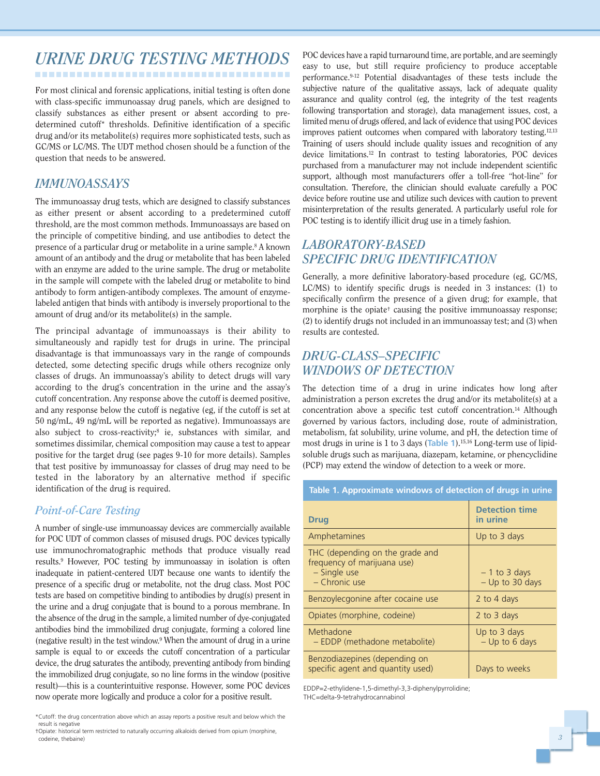# *URINE DRUG TESTING METHODS*

------------------------------------

For most clinical and forensic applications, initial testing is often done with class-specific immunoassay drug panels, which are designed to classify substances as either present or absent according to predetermined cutoff\* thresholds. Definitive identification of a specific drug and/or its metabolite(s) requires more sophisticated tests, such as GC/MS or LC/MS. The UDT method chosen should be a function of the question that needs to be answered.

#### *IMMUNOASSAYS*

The immunoassay drug tests, which are designed to classify substances as either present or absent according to a predetermined cutoff threshold, are the most common methods. Immunoassays are based on the principle of competitive binding, and use antibodies to detect the presence of a particular drug or metabolite in a urine sample.<sup>8</sup> A known amount of an antibody and the drug or metabolite that has been labeled with an enzyme are added to the urine sample. The drug or metabolite in the sample will compete with the labeled drug or metabolite to bind antibody to form antigen-antibody complexes. The amount of enzymelabeled antigen that binds with antibody is inversely proportional to the amount of drug and/or its metabolite(s) in the sample.

The principal advantage of immunoassays is their ability to simultaneously and rapidly test for drugs in urine. The principal disadvantage is that immunoassays vary in the range of compounds detected, some detecting specific drugs while others recognize only classes of drugs. An immunoassay's ability to detect drugs will vary according to the drug's concentration in the urine and the assay's cutoff concentration. Any response above the cutoff is deemed positive, and any response below the cutoff is negative (eg, if the cutoff is set at 50 ng/mL, 49 ng/mL will be reported as negative). Immunoassays are also subject to cross-reactivity;<sup>8</sup> ie, substances with similar, and sometimes dissimilar, chemical composition may cause a test to appear positive for the target drug (see pages 9-10 for more details). Samples that test positive by immunoassay for classes of drug may need to be tested in the laboratory by an alternative method if specific identification of the drug is required.

#### *Point-of-Care Testing*

A number of single-use immunoassay devices are commercially available for POC UDT of common classes of misused drugs. POC devices typically use immunochromatographic methods that produce visually read results.9 However, POC testing by immunoassay in isolation is often inadequate in patient-centered UDT because one wants to identify the presence of a specific drug or metabolite, not the drug class. Most POC tests are based on competitive binding to antibodies by drug(s) present in the urine and a drug conjugate that is bound to a porous membrane. In the absence of the drug in the sample, a limited number of dye-conjugated antibodies bind the immobilized drug conjugate, forming a colored line (negative result) in the test window.9 When the amount of drug in a urine sample is equal to or exceeds the cutoff concentration of a particular device, the drug saturates the antibody, preventing antibody from binding the immobilized drug conjugate, so no line forms in the window (positive result)—this is a counterintuitive response. However, some POC devices now operate more logically and produce a color for a positive result.

†Opiate: historical term restricted to naturally occurring alkaloids derived from opium (morphine, codeine, thebaine)

POC devices have a rapid turnaround time, are portable, and are seemingly easy to use, but still require proficiency to produce acceptable performance.9-12 Potential disadvantages of these tests include the subjective nature of the qualitative assays, lack of adequate quality assurance and quality control (eg, the integrity of the test reagents following transportation and storage), data management issues, cost, a limited menu of drugs offered, and lack of evidence that using POC devices improves patient outcomes when compared with laboratory testing.12,13 Training of users should include quality issues and recognition of any device limitations.12 In contrast to testing laboratories, POC devices purchased from a manufacturer may not include independent scientific support, although most manufacturers offer a toll-free "hot-line" for consultation. Therefore, the clinician should evaluate carefully a POC device before routine use and utilize such devices with caution to prevent misinterpretation of the results generated. A particularly useful role for POC testing is to identify illicit drug use in a timely fashion.

#### *LABORATORY-BASED SPECIFIC DRUG IDENTIFICATION*

Generally, a more definitive laboratory-based procedure (eg, GC/MS, LC/MS) to identify specific drugs is needed in 3 instances: (1) to specifically confirm the presence of a given drug; for example, that morphine is the opiate† causing the positive immunoassay response; (2) to identify drugs not included in an immunoassay test; and (3) when results are contested.

#### *DRUG-CLASS–SPECIFIC WINDOWS OF DETECTION*

The detection time of a drug in urine indicates how long after administration a person excretes the drug and/or its metabolite(s) at a concentration above a specific test cutoff concentration.14 Although governed by various factors, including dose, route of administration, metabolism, fat solubility, urine volume, and pH, the detection time of most drugs in urine is 1 to 3 days (**Table 1**).15,16 Long-term use of lipidsoluble drugs such as marijuana, diazepam, ketamine, or phencyclidine (PCP) may extend the window of detection to a week or more.

| Table 1. Approximate windows of detection of drugs in urine                                     |                                   |  |
|-------------------------------------------------------------------------------------------------|-----------------------------------|--|
| <b>Drug</b>                                                                                     | <b>Detection time</b><br>in urine |  |
| Amphetamines                                                                                    | Up to 3 days                      |  |
| THC (depending on the grade and<br>frequency of marijuana use)<br>- Single use<br>- Chronic use | $-1$ to 3 days<br>- Up to 30 days |  |
| Benzoylecgonine after cocaine use                                                               | 2 to 4 days                       |  |
| Opiates (morphine, codeine)                                                                     | 2 to 3 days                       |  |
| Methadone<br>- EDDP (methadone metabolite)                                                      | Up to 3 days<br>$-$ Up to 6 days  |  |
| Benzodiazepines (depending on<br>specific agent and quantity used)                              | Days to weeks                     |  |

EDDP=2-ethylidene-1,5-dimethyl-3,3-diphenylpyrrolidine; THC=delta-9-tetrahydrocannabinol

<sup>\*</sup>Cutoff: the drug concentration above which an assay reports a positive result and below which the result is negative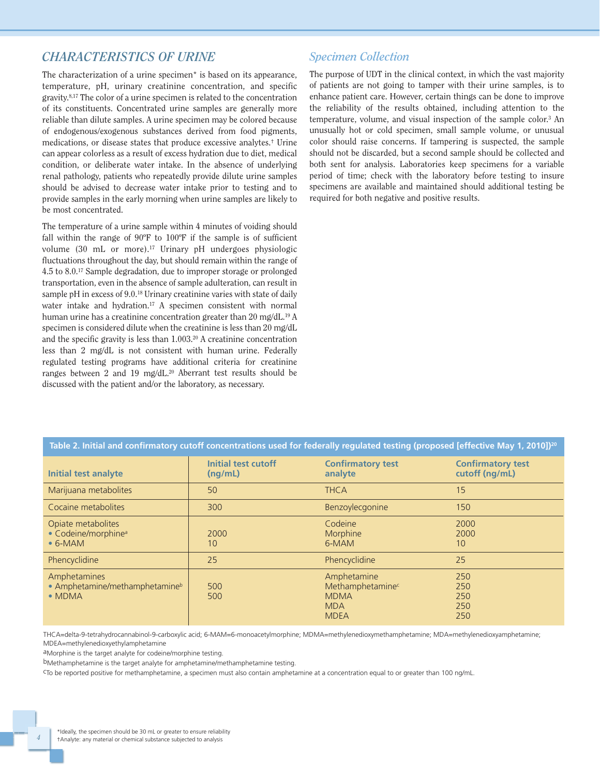#### *CHARACTERISTICS OF URINE*

The characterization of a urine specimen\* is based on its appearance, temperature, pH, urinary creatinine concentration, and specific gravity.8,17 The color of a urine specimen is related to the concentration of its constituents. Concentrated urine samples are generally more reliable than dilute samples. A urine specimen may be colored because of endogenous/exogenous substances derived from food pigments, medications, or disease states that produce excessive analytes.† Urine can appear colorless as a result of excess hydration due to diet, medical condition, or deliberate water intake. In the absence of underlying renal pathology, patients who repeatedly provide dilute urine samples should be advised to decrease water intake prior to testing and to provide samples in the early morning when urine samples are likely to be most concentrated.

The temperature of a urine sample within 4 minutes of voiding should fall within the range of 90ºF to 100ºF if the sample is of sufficient volume (30 mL or more).17 Urinary pH undergoes physiologic fluctuations throughout the day, but should remain within the range of 4.5 to 8.0.17 Sample degradation, due to improper storage or prolonged transportation, even in the absence of sample adulteration, can result in sample pH in excess of 9.0.<sup>18</sup> Urinary creatinine varies with state of daily water intake and hydration.<sup>17</sup> A specimen consistent with normal human urine has a creatinine concentration greater than 20 mg/dL.19 A specimen is considered dilute when the creatinine is less than 20 mg/dL and the specific gravity is less than 1.003.20 A creatinine concentration less than 2 mg/dL is not consistent with human urine. Federally regulated testing programs have additional criteria for creatinine ranges between 2 and 19 mg/dL.20 Aberrant test results should be discussed with the patient and/or the laboratory, as necessary.

#### *Specimen Collection*

The purpose of UDT in the clinical context, in which the vast majority of patients are not going to tamper with their urine samples, is to enhance patient care. However, certain things can be done to improve the reliability of the results obtained, including attention to the temperature, volume, and visual inspection of the sample color.3 An unusually hot or cold specimen, small sample volume, or unusual color should raise concerns. If tampering is suspected, the sample should not be discarded, but a second sample should be collected and both sent for analysis. Laboratories keep specimens for a variable period of time; check with the laboratory before testing to insure specimens are available and maintained should additional testing be required for both negative and positive results.

| Table 2. Initial and confirmatory cutoff concentrations used for federally regulated testing (proposed [effective May 1, 2010]) <sup>20</sup> |                                       |                                                                             |                                            |
|-----------------------------------------------------------------------------------------------------------------------------------------------|---------------------------------------|-----------------------------------------------------------------------------|--------------------------------------------|
| <b>Initial test analyte</b>                                                                                                                   | <b>Initial test cutoff</b><br>(nq/mL) | <b>Confirmatory test</b><br>analyte                                         | <b>Confirmatory test</b><br>cutoff (ng/mL) |
| Marijuana metabolites                                                                                                                         | 50                                    | <b>THCA</b>                                                                 | 15                                         |
| Cocaine metabolites                                                                                                                           | 300                                   | Benzoylecgonine                                                             | 150                                        |
| Opiate metabolites<br>• Codeine/morphine <sup>a</sup><br>$\bullet$ 6-MAM                                                                      | 2000<br>10                            | Codeine<br>Morphine<br>6-MAM                                                | 2000<br>2000<br>10                         |
| Phencyclidine                                                                                                                                 | 25                                    | Phencyclidine                                                               | 25                                         |
| Amphetamines<br>• Amphetamine/methamphetamine <sup>b</sup><br>$\bullet$ MDMA                                                                  | 500<br>500                            | Amphetamine<br>Methamphetaminec<br><b>MDMA</b><br><b>MDA</b><br><b>MDEA</b> | 250<br>250<br>250<br>250<br>250            |

THCA=delta-9-tetrahydrocannabinol-9-carboxylic acid; 6-MAM=6-monoacetylmorphine; MDMA=methylenedioxymethamphetamine; MDA=methylenedioxyamphetamine; MDEA=methylenedioxyethylamphetamine

aMorphine is the target analyte for codeine/morphine testing.

bMethamphetamine is the target analyte for amphetamine/methamphetamine testing.

cTo be reported positive for methamphetamine, a specimen must also contain amphetamine at a concentration equal to or greater than 100 ng/mL.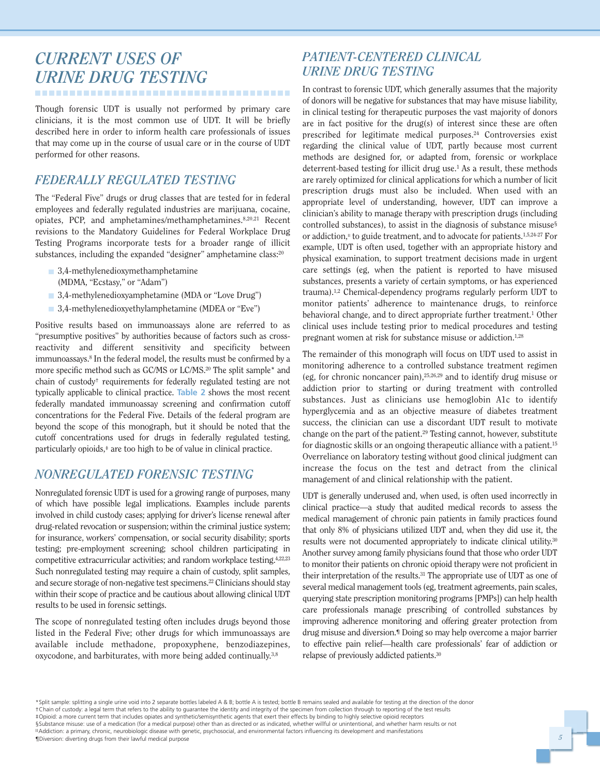## *CURRENT USES OF URINE DRUG TESTING* -------------------------------------

Though forensic UDT is usually not performed by primary care clinicians, it is the most common use of UDT. It will be briefly described here in order to inform health care professionals of issues that may come up in the course of usual care or in the course of UDT performed for other reasons.

#### *FEDERALLY REGULATED TESTING*

The "Federal Five" drugs or drug classes that are tested for in federal employees and federally regulated industries are marijuana, cocaine, opiates, PCP, and amphetamines/methamphetamines.8,20,21 Recent revisions to the Mandatory Guidelines for Federal Workplace Drug Testing Programs incorporate tests for a broader range of illicit substances, including the expanded "designer" amphetamine class:<sup>20</sup>

- 3,4-methylenedioxymethamphetamine (MDMA, "Ecstasy," or "Adam")
- 3,4-methylenedioxyamphetamine (MDA or "Love Drug")
- 3,4-methylenedioxyethylamphetamine (MDEA or "Eve")

Positive results based on immunoassays alone are referred to as "presumptive positives" by authorities because of factors such as crossreactivity and different sensitivity and specificity between immunoassays.8 In the federal model, the results must be confirmed by a more specific method such as GC/MS or LC/MS.20 The split sample\* and chain of custody† requirements for federally regulated testing are not typically applicable to clinical practice. **Table 2** shows the most recent federally mandated immunoassay screening and confirmation cutoff concentrations for the Federal Five. Details of the federal program are beyond the scope of this monograph, but it should be noted that the cutoff concentrations used for drugs in federally regulated testing, particularly opioids,‡ are too high to be of value in clinical practice.

#### *NONREGULATED FORENSIC TESTING*

Nonregulated forensic UDT is used for a growing range of purposes, many of which have possible legal implications. Examples include parents involved in child custody cases; applying for driver's license renewal after drug-related revocation or suspension; within the criminal justice system; for insurance, workers' compensation, or social security disability; sports testing; pre-employment screening; school children participating in competitive extracurricular activities; and random workplace testing.<sup>4,22,23</sup> Such nonregulated testing may require a chain of custody, split samples, and secure storage of non-negative test specimens.22 Clinicians should stay within their scope of practice and be cautious about allowing clinical UDT results to be used in forensic settings.

The scope of nonregulated testing often includes drugs beyond those listed in the Federal Five; other drugs for which immunoassays are available include methadone, propoxyphene, benzodiazepines, oxycodone, and barbiturates, with more being added continually.3,8

## *PATIENT-CENTERED CLINICAL URINE DRUG TESTING*

In contrast to forensic UDT, which generally assumes that the majority of donors will be negative for substances that may have misuse liability, in clinical testing for therapeutic purposes the vast majority of donors are in fact positive for the drug(s) of interest since these are often prescribed for legitimate medical purposes.24 Controversies exist regarding the clinical value of UDT, partly because most current methods are designed for, or adapted from, forensic or workplace deterrent-based testing for illicit drug use.1 As a result, these methods are rarely optimized for clinical applications for which a number of licit prescription drugs must also be included. When used with an appropriate level of understanding, however, UDT can improve a clinician's ability to manage therapy with prescription drugs (including controlled substances), to assist in the diagnosis of substance misuse§ or addiction,<sup>11</sup> to guide treatment, and to advocate for patients.<sup>1,5,24-27</sup> For example, UDT is often used, together with an appropriate history and physical examination, to support treatment decisions made in urgent care settings (eg, when the patient is reported to have misused substances, presents a variety of certain symptoms, or has experienced trauma).1,2 Chemical-dependency programs regularly perform UDT to monitor patients' adherence to maintenance drugs, to reinforce behavioral change, and to direct appropriate further treatment.<sup>1</sup> Other clinical uses include testing prior to medical procedures and testing pregnant women at risk for substance misuse or addiction.<sup>1,28</sup>

The remainder of this monograph will focus on UDT used to assist in monitoring adherence to a controlled substance treatment regimen (eg, for chronic noncancer pain),25,26,29 and to identify drug misuse or addiction prior to starting or during treatment with controlled substances. Just as clinicians use hemoglobin A1c to identify hyperglycemia and as an objective measure of diabetes treatment success, the clinician can use a discordant UDT result to motivate change on the part of the patient.29 Testing cannot, however, substitute for diagnostic skills or an ongoing therapeutic alliance with a patient.15 Overreliance on laboratory testing without good clinical judgment can increase the focus on the test and detract from the clinical management of and clinical relationship with the patient.

UDT is generally underused and, when used, is often used incorrectly in clinical practice—a study that audited medical records to assess the medical management of chronic pain patients in family practices found that only 8% of physicians utilized UDT and, when they did use it, the results were not documented appropriately to indicate clinical utility.30 Another survey among family physicians found that those who order UDT to monitor their patients on chronic opioid therapy were not proficient in their interpretation of the results.31 The appropriate use of UDT as one of several medical management tools (eg, treatment agreements, pain scales, querying state prescription monitoring programs [PMPs]) can help health care professionals manage prescribing of controlled substances by improving adherence monitoring and offering greater protection from drug misuse and diversion.¶ Doing so may help overcome a major barrier to effective pain relief—health care professionals' fear of addiction or relapse of previously addicted patients.30

\*Split sample: splitting a single urine void into 2 separate bottles labeled A & B; bottle A is tested; bottle B remains sealed and available for testing at the direction of the donor †Chain of custody: a legal term that refers to the ability to guarantee the identity and integrity of the specimen from collection through to reporting of the test results ‡Opioid: a more current term that includes opiates and synthetic/semisynthetic agents that exert their effects by binding to highly selective opioid receptors §Substance misuse: use of a medication (for a medical purpose) other than as directed or as indicated, whether willful or unintentional, and whether harm results or not ııAddiction: a primary, chronic, neurobiologic disease with genetic, psychosocial, and environmental factors influencing its development and manifestations ¶Diversion: diverting drugs from their lawful medical purpose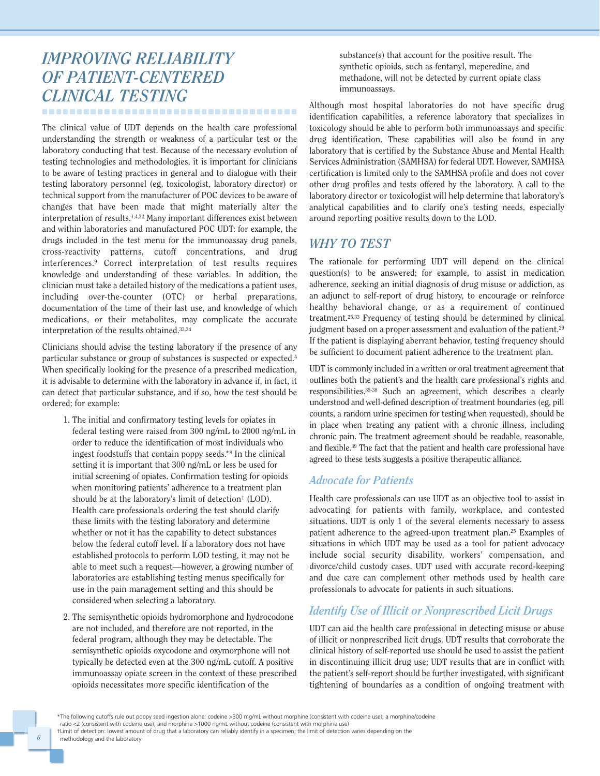## *IMPROVING RELIABILITY OF PATIENT-CENTERED CLINICAL TESTING*

-------------------------------------

The clinical value of UDT depends on the health care professional understanding the strength or weakness of a particular test or the laboratory conducting that test. Because of the necessary evolution of testing technologies and methodologies, it is important for clinicians to be aware of testing practices in general and to dialogue with their testing laboratory personnel (eg, toxicologist, laboratory director) or technical support from the manufacturer of POC devices to be aware of changes that have been made that might materially alter the interpretation of results.1,4,32 Many important differences exist between and within laboratories and manufactured POC UDT: for example, the drugs included in the test menu for the immunoassay drug panels, cross-reactivity patterns, cutoff concentrations, and drug interferences.9 Correct interpretation of test results requires knowledge and understanding of these variables. In addition, the clinician must take a detailed history of the medications a patient uses, including over-the-counter (OTC) or herbal preparations, documentation of the time of their last use, and knowledge of which medications, or their metabolites, may complicate the accurate interpretation of the results obtained.33,34

Clinicians should advise the testing laboratory if the presence of any particular substance or group of substances is suspected or expected.4 When specifically looking for the presence of a prescribed medication, it is advisable to determine with the laboratory in advance if, in fact, it can detect that particular substance, and if so, how the test should be ordered; for example:

- 1. The initial and confirmatory testing levels for opiates in federal testing were raised from 300 ng/mL to 2000 ng/mL in order to reduce the identification of most individuals who ingest foodstuffs that contain poppy seeds.\*<sup>8</sup> In the clinical setting it is important that 300 ng/mL or less be used for initial screening of opiates. Confirmation testing for opioids when monitoring patients' adherence to a treatment plan should be at the laboratory's limit of detection† (LOD). Health care professionals ordering the test should clarify these limits with the testing laboratory and determine whether or not it has the capability to detect substances below the federal cutoff level. If a laboratory does not have established protocols to perform LOD testing, it may not be able to meet such a request—however, a growing number of laboratories are establishing testing menus specifically for use in the pain management setting and this should be considered when selecting a laboratory.
- 2. The semisynthetic opioids hydromorphone and hydrocodone are not included, and therefore are not reported, in the federal program, although they may be detectable. The semisynthetic opioids oxycodone and oxymorphone will not typically be detected even at the 300 ng/mL cutoff. A positive immunoassay opiate screen in the context of these prescribed opioids necessitates more specific identification of the

substance(s) that account for the positive result. The synthetic opioids, such as fentanyl, meperedine, and methadone, will not be detected by current opiate class immunoassays.

Although most hospital laboratories do not have specific drug identification capabilities, a reference laboratory that specializes in toxicology should be able to perform both immunoassays and specific drug identification. These capabilities will also be found in any laboratory that is certified by the Substance Abuse and Mental Health Services Administration (SAMHSA) for federal UDT. However, SAMHSA certification is limited only to the SAMHSA profile and does not cover other drug profiles and tests offered by the laboratory. A call to the laboratory director or toxicologist will help determine that laboratory's analytical capabilities and to clarify one's testing needs, especially around reporting positive results down to the LOD.

#### *WHY TO TEST*

The rationale for performing UDT will depend on the clinical question(s) to be answered; for example, to assist in medication adherence, seeking an initial diagnosis of drug misuse or addiction, as an adjunct to self-report of drug history, to encourage or reinforce healthy behavioral change, or as a requirement of continued treatment.25,33 Frequency of testing should be determined by clinical judgment based on a proper assessment and evaluation of the patient.<sup>29</sup> If the patient is displaying aberrant behavior, testing frequency should be sufficient to document patient adherence to the treatment plan.

UDT is commonly included in a written or oral treatment agreement that outlines both the patient's and the health care professional's rights and responsibilities.35-38 Such an agreement, which describes a clearly understood and well-defined description of treatment boundaries (eg, pill counts, a random urine specimen for testing when requested), should be in place when treating any patient with a chronic illness, including chronic pain. The treatment agreement should be readable, reasonable, and flexible.39 The fact that the patient and health care professional have agreed to these tests suggests a positive therapeutic alliance.

#### *Advocate for Patients*

Health care professionals can use UDT as an objective tool to assist in advocating for patients with family, workplace, and contested situations. UDT is only 1 of the several elements necessary to assess patient adherence to the agreed-upon treatment plan.25 Examples of situations in which UDT may be used as a tool for patient advocacy include social security disability, workers' compensation, and divorce/child custody cases. UDT used with accurate record-keeping and due care can complement other methods used by health care professionals to advocate for patients in such situations.

#### *Identify Use of Illicit or Nonprescribed Licit Drugs*

UDT can aid the health care professional in detecting misuse or abuse of illicit or nonprescribed licit drugs. UDT results that corroborate the clinical history of self-reported use should be used to assist the patient in discontinuing illicit drug use; UDT results that are in conflict with the patient's self-report should be further investigated, with significant tightening of boundaries as a condition of ongoing treatment with

<sup>\*</sup>The following cutoffs rule out poppy seed ingestion alone: codeine >300 mg/mL without morphine (consistent with codeine use); a morphine/codeine ratio <2 (consistent with codeine use); and morphine >1000 ng/mL without codeine (consistent with morphine use) †Limit of detection: lowest amount of drug that a laboratory can reliably identify in a specimen; the limit of detection varies depending on the methodology and the laboratory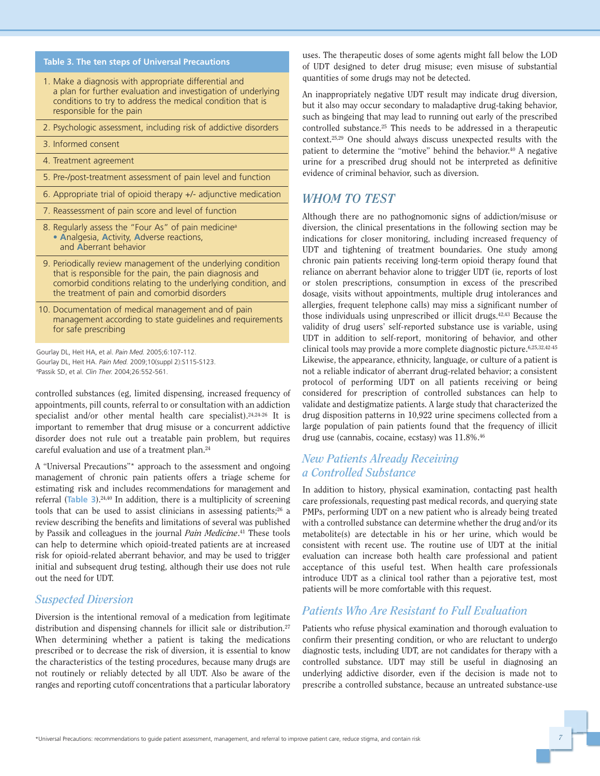#### **Table 3. The ten steps of Universal Precautions**

- 1. Make a diagnosis with appropriate differential and a plan for further evaluation and investigation of underlying conditions to try to address the medical condition that is responsible for the pain
- 2. Psychologic assessment, including risk of addictive disorders
- 3. Informed consent
- 4. Treatment agreement
- 5. Pre-/post-treatment assessment of pain level and function
- 6. Appropriate trial of opioid therapy +/- adjunctive medication
- 7. Reassessment of pain score and level of function
- 8. Regularly assess the "Four As" of pain medicine<sup>a</sup> • **A**nalgesia, **A**ctivity, **A**dverse reactions, and **A**berrant behavior
- 9. Periodically review management of the underlying condition that is responsible for the pain, the pain diagnosis and comorbid conditions relating to the underlying condition, and the treatment of pain and comorbid disorders
- 10. Documentation of medical management and of pain management according to state guidelines and requirements for safe prescribing

Gourlay DL, Heit HA, et al. *Pain Med.* 2005;6:107-112. Gourlay DL, Heit HA. *Pain Med.* 2009;10(suppl 2):S115-S123. a Passik SD, et al. *Clin Ther.* 2004;26:552-561.

controlled substances (eg, limited dispensing, increased frequency of appointments, pill counts, referral to or consultation with an addiction specialist and/or other mental health care specialist).24,24-26 It is important to remember that drug misuse or a concurrent addictive disorder does not rule out a treatable pain problem, but requires careful evaluation and use of a treatment plan.24

A "Universal Precautions"\* approach to the assessment and ongoing management of chronic pain patients offers a triage scheme for estimating risk and includes recommendations for management and referral (**Table 3**).24,40 In addition, there is a multiplicity of screening tools that can be used to assist clinicians in assessing patients; $26$  a review describing the benefits and limitations of several was published by Passik and colleagues in the journal *Pain Medicine*. <sup>41</sup> These tools can help to determine which opioid-treated patients are at increased risk for opioid-related aberrant behavior, and may be used to trigger initial and subsequent drug testing, although their use does not rule out the need for UDT.

#### *Suspected Diversion*

Diversion is the intentional removal of a medication from legitimate distribution and dispensing channels for illicit sale or distribution.<sup>27</sup> When determining whether a patient is taking the medications prescribed or to decrease the risk of diversion, it is essential to know the characteristics of the testing procedures, because many drugs are not routinely or reliably detected by all UDT. Also be aware of the ranges and reporting cutoff concentrations that a particular laboratory uses. The therapeutic doses of some agents might fall below the LOD of UDT designed to deter drug misuse; even misuse of substantial quantities of some drugs may not be detected.

An inappropriately negative UDT result may indicate drug diversion, but it also may occur secondary to maladaptive drug-taking behavior, such as bingeing that may lead to running out early of the prescribed controlled substance.25 This needs to be addressed in a therapeutic context.25,29 One should always discuss unexpected results with the patient to determine the "motive" behind the behavior.<sup>40</sup> A negative urine for a prescribed drug should not be interpreted as definitive evidence of criminal behavior, such as diversion.

#### *WHOM TO TEST*

Although there are no pathognomonic signs of addiction/misuse or diversion, the clinical presentations in the following section may be indications for closer monitoring, including increased frequency of UDT and tightening of treatment boundaries. One study among chronic pain patients receiving long-term opioid therapy found that reliance on aberrant behavior alone to trigger UDT (ie, reports of lost or stolen prescriptions, consumption in excess of the prescribed dosage, visits without appointments, multiple drug intolerances and allergies, frequent telephone calls) may miss a significant number of those individuals using unprescribed or illicit drugs.42,43 Because the validity of drug users' self-reported substance use is variable, using UDT in addition to self-report, monitoring of behavior, and other clinical tools may provide a more complete diagnostic picture.6,25,32,42-45 Likewise, the appearance, ethnicity, language, or culture of a patient is not a reliable indicator of aberrant drug-related behavior; a consistent protocol of performing UDT on all patients receiving or being considered for prescription of controlled substances can help to validate and destigmatize patients. A large study that characterized the drug disposition patterns in 10,922 urine specimens collected from a large population of pain patients found that the frequency of illicit drug use (cannabis, cocaine, ecstasy) was  $11.8\%$ .<sup>46</sup>

#### *New Patients Already Receiving a Controlled Substance*

In addition to history, physical examination, contacting past health care professionals, requesting past medical records, and querying state PMPs, performing UDT on a new patient who is already being treated with a controlled substance can determine whether the drug and/or its metabolite(s) are detectable in his or her urine, which would be consistent with recent use. The routine use of UDT at the initial evaluation can increase both health care professional and patient acceptance of this useful test. When health care professionals introduce UDT as a clinical tool rather than a pejorative test, most patients will be more comfortable with this request.

#### *Patients Who Are Resistant to Full Evaluation*

Patients who refuse physical examination and thorough evaluation to confirm their presenting condition, or who are reluctant to undergo diagnostic tests, including UDT, are not candidates for therapy with a controlled substance. UDT may still be useful in diagnosing an underlying addictive disorder, even if the decision is made not to prescribe a controlled substance, because an untreated substance-use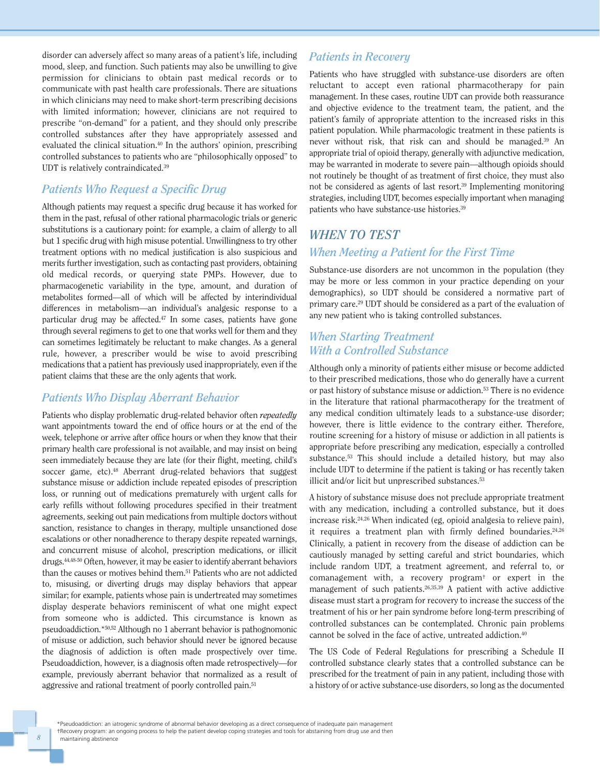disorder can adversely affect so many areas of a patient's life, including mood, sleep, and function. Such patients may also be unwilling to give permission for clinicians to obtain past medical records or to communicate with past health care professionals. There are situations in which clinicians may need to make short-term prescribing decisions with limited information; however, clinicians are not required to prescribe "on-demand" for a patient, and they should only prescribe controlled substances after they have appropriately assessed and evaluated the clinical situation.40 In the authors' opinion, prescribing controlled substances to patients who are "philosophically opposed" to UDT is relatively contraindicated.39

#### *Patients Who Request a Specific Drug*

Although patients may request a specific drug because it has worked for them in the past, refusal of other rational pharmacologic trials or generic substitutions is a cautionary point: for example, a claim of allergy to all but 1 specific drug with high misuse potential. Unwillingness to try other treatment options with no medical justification is also suspicious and merits further investigation, such as contacting past providers, obtaining old medical records, or querying state PMPs. However, due to pharmacogenetic variability in the type, amount, and duration of metabolites formed—all of which will be affected by interindividual differences in metabolism—an individual's analgesic response to a particular drug may be affected.47 In some cases, patients have gone through several regimens to get to one that works well for them and they can sometimes legitimately be reluctant to make changes. As a general rule, however, a prescriber would be wise to avoid prescribing medications that a patient has previously used inappropriately, even if the patient claims that these are the only agents that work.

#### *Patients Who Display Aberrant Behavior*

Patients who display problematic drug-related behavior often *repeatedly* want appointments toward the end of office hours or at the end of the week, telephone or arrive after office hours or when they know that their primary health care professional is not available, and may insist on being seen immediately because they are late (for their flight, meeting, child's soccer game, etc).<sup>48</sup> Aberrant drug-related behaviors that suggest substance misuse or addiction include repeated episodes of prescription loss, or running out of medications prematurely with urgent calls for early refills without following procedures specified in their treatment agreements, seeking out pain medications from multiple doctors without sanction, resistance to changes in therapy, multiple unsanctioned dose escalations or other nonadherence to therapy despite repeated warnings, and concurrent misuse of alcohol, prescription medications, or illicit drugs.44,48-50 Often, however, it may be easier to identify aberrant behaviors than the causes or motives behind them.51 Patients who are not addicted to, misusing, or diverting drugs may display behaviors that appear similar; for example, patients whose pain is undertreated may sometimes display desperate behaviors reminiscent of what one might expect from someone who is addicted. This circumstance is known as pseudoaddiction.\*50,52 Although no 1 aberrant behavior is pathognomonic of misuse or addiction, such behavior should never be ignored because the diagnosis of addiction is often made prospectively over time. Pseudoaddiction, however, is a diagnosis often made retrospectively—for example, previously aberrant behavior that normalized as a result of aggressive and rational treatment of poorly controlled pain.51

#### *Patients in Recovery*

Patients who have struggled with substance-use disorders are often reluctant to accept even rational pharmacotherapy for pain management. In these cases, routine UDT can provide both reassurance and objective evidence to the treatment team, the patient, and the patient's family of appropriate attention to the increased risks in this patient population. While pharmacologic treatment in these patients is never without risk, that risk can and should be managed.39 An appropriate trial of opioid therapy, generally with adjunctive medication, may be warranted in moderate to severe pain—although opioids should not routinely be thought of as treatment of first choice, they must also not be considered as agents of last resort.39 Implementing monitoring strategies, including UDT, becomes especially important when managing patients who have substance-use histories.39

#### *WHEN TO TEST*

#### *When Meeting a Patient for the First Time*

Substance-use disorders are not uncommon in the population (they may be more or less common in your practice depending on your demographics), so UDT should be considered a normative part of primary care.29 UDT should be considered as a part of the evaluation of any new patient who is taking controlled substances.

#### *When Starting Treatment With a Controlled Substance*

Although only a minority of patients either misuse or become addicted to their prescribed medications, those who do generally have a current or past history of substance misuse or addiction.53 There is no evidence in the literature that rational pharmacotherapy for the treatment of any medical condition ultimately leads to a substance-use disorder; however, there is little evidence to the contrary either. Therefore, routine screening for a history of misuse or addiction in all patients is appropriate before prescribing any medication, especially a controlled substance.53 This should include a detailed history, but may also include UDT to determine if the patient is taking or has recently taken illicit and/or licit but unprescribed substances.<sup>53</sup>

A history of substance misuse does not preclude appropriate treatment with any medication, including a controlled substance, but it does increase risk.24,26 When indicated (eg, opioid analgesia to relieve pain), it requires a treatment plan with firmly defined boundaries.<sup>24,26</sup> Clinically, a patient in recovery from the disease of addiction can be cautiously managed by setting careful and strict boundaries, which include random UDT, a treatment agreement, and referral to, or comanagement with, a recovery program† or expert in the management of such patients.26,35,39 A patient with active addictive disease must start a program for recovery to increase the success of the treatment of his or her pain syndrome before long-term prescribing of controlled substances can be contemplated. Chronic pain problems cannot be solved in the face of active, untreated addiction.40

The US Code of Federal Regulations for prescribing a Schedule II controlled substance clearly states that a controlled substance can be prescribed for the treatment of pain in any patient, including those with a history of or active substance-use disorders, so long as the documented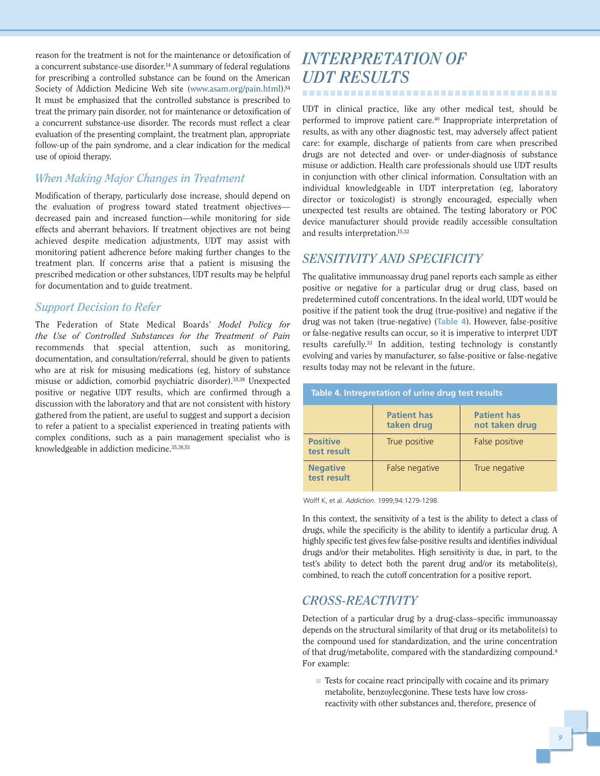reason for the treatment is not for the maintenance or detoxification of a concurrent substance-use disorder.14 A summary of federal regulations for prescribing a controlled substance can be found on the American Society of Addiction Medicine Web site (**www.asam.org/pain.html**).54 It must be emphasized that the controlled substance is prescribed to treat the primary pain disorder, not for maintenance or detoxification of a concurrent substance-use disorder. The records must reflect a clear evaluation of the presenting complaint, the treatment plan, appropriate follow-up of the pain syndrome, and a clear indication for the medical use of opioid therapy.

#### *When Making Major Changes in Treatment*

Modification of therapy, particularly dose increase, should depend on the evaluation of progress toward stated treatment objectives decreased pain and increased function—while monitoring for side effects and aberrant behaviors. If treatment objectives are not being achieved despite medication adjustments, UDT may assist with monitoring patient adherence before making further changes to the treatment plan. If concerns arise that a patient is misusing the prescribed medication or other substances, UDT results may be helpful for documentation and to guide treatment.

#### *Support Decision to Refer*

The Federation of State Medical Boards' *Model Policy for the Use of Controlled Substances for the Treatment of Pain* recommends that special attention, such as monitoring, documentation, and consultation/referral, should be given to patients who are at risk for misusing medications (eg, history of substance misuse or addiction, comorbid psychiatric disorder).35,38 Unexpected positive or negative UDT results, which are confirmed through a discussion with the laboratory and that are not consistent with history gathered from the patient, are useful to suggest and support a decision to refer a patient to a specialist experienced in treating patients with complex conditions, such as a pain management specialist who is knowledgeable in addiction medicine.35,38,53

## *INTERPRETATION OF UDT RESULTS* .....................................

UDT in clinical practice, like any other medical test, should be performed to improve patient care.40 Inappropriate interpretation of results, as with any other diagnostic test, may adversely affect patient care: for example, discharge of patients from care when prescribed drugs are not detected and over- or under-diagnosis of substance misuse or addiction. Health care professionals should use UDT results in conjunction with other clinical information. Consultation with an individual knowledgeable in UDT interpretation (eg, laboratory director or toxicologist) is strongly encouraged, especially when unexpected test results are obtained. The testing laboratory or POC device manufacturer should provide readily accessible consultation and results interpretation.15,32

#### *SENSITIVITY AND SPECIFICITY*

The qualitative immunoassay drug panel reports each sample as either positive or negative for a particular drug or drug class, based on predetermined cutoff concentrations. In the ideal world, UDT would be positive if the patient took the drug (true-positive) and negative if the drug was not taken (true-negative) (**Table 4**). However, false-positive or false-negative results can occur, so it is imperative to interpret UDT results carefully.33 In addition, testing technology is constantly evolving and varies by manufacturer, so false-positive or false-negative results today may not be relevant in the future.

| Table 4. Intrepretation of urine drug test results |                                  |                                      |
|----------------------------------------------------|----------------------------------|--------------------------------------|
|                                                    | <b>Patient has</b><br>taken drug | <b>Patient has</b><br>not taken drug |
| <b>Positive</b><br>test result                     | True positive                    | False positive                       |
| <b>Negative</b><br>test result                     | False negative                   | True negative                        |

Wolff K, et al. *Addiction*. 1999;94:1279-1298.

In this context, the sensitivity of a test is the ability to detect a class of drugs, while the specificity is the ability to identify a particular drug. A highly specific test gives few false-positive results and identifies individual drugs and/or their metabolites. High sensitivity is due, in part, to the test's ability to detect both the parent drug and/or its metabolite(s), combined, to reach the cutoff concentration for a positive report.

#### *CROSS-REACTIVITY*

Detection of a particular drug by a drug-class–specific immunoassay depends on the structural similarity of that drug or its metabolite(s) to the compound used for standardization, and the urine concentration of that drug/metabolite, compared with the standardizing compound.<sup>9</sup> For example:

 $\blacksquare$  Tests for cocaine react principally with cocaine and its primary metabolite, benzoylecgonine. These tests have low crossreactivity with other substances and, therefore, presence of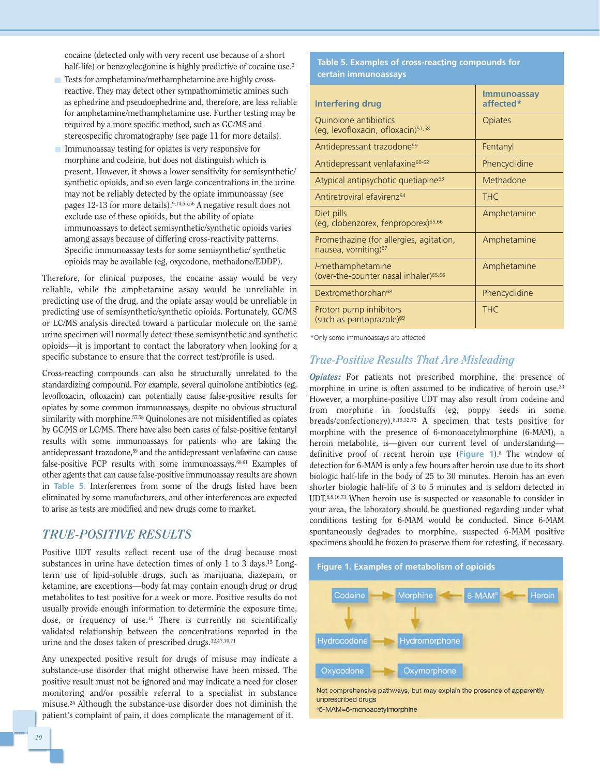cocaine (detected only with very recent use because of a short half-life) or benzoylecgonine is highly predictive of cocaine use.<sup>3</sup>

- Tests for amphetamine/methamphetamine are highly crossreactive. They may detect other sympathomimetic amines such as ephedrine and pseudoephedrine and, therefore, are less reliable for amphetamine/methamphetamine use. Further testing may be required by a more specific method, such as GC/MS and stereospecific chromatography (see page 11 for more details).
- Immunoassay testing for opiates is very responsive for morphine and codeine, but does not distinguish which is present. However, it shows a lower sensitivity for semisynthetic/ synthetic opioids, and so even large concentrations in the urine may not be reliably detected by the opiate immunoassay (see pages 12-13 for more details).9,14,55,56 A negative result does not exclude use of these opioids, but the ability of opiate immunoassays to detect semisynthetic/synthetic opioids varies among assays because of differing cross-reactivity patterns. Specific immunoassay tests for some semisynthetic/ synthetic opioids may be available (eg, oxycodone, methadone/EDDP).

Therefore, for clinical purposes, the cocaine assay would be very reliable, while the amphetamine assay would be unreliable in predicting use of the drug, and the opiate assay would be unreliable in predicting use of semisynthetic/synthetic opioids. Fortunately, GC/MS or LC/MS analysis directed toward a particular molecule on the same urine specimen will normally detect these semisynthetic and synthetic opioids—it is important to contact the laboratory when looking for a specific substance to ensure that the correct test/profile is used.

Cross-reacting compounds can also be structurally unrelated to the standardizing compound. For example, several quinolone antibiotics (eg, levofloxacin, ofloxacin) can potentially cause false-positive results for opiates by some common immunoassays, despite no obvious structural similarity with morphine.<sup>57,58</sup> Quinolones are not misidentified as opiates by GC/MS or LC/MS. There have also been cases of false-positive fentanyl results with some immunoassays for patients who are taking the antidepressant trazodone,59 and the antidepressant venlafaxine can cause false-positive PCP results with some immunoassays.<sup>60,61</sup> Examples of other agents that can cause false-positive immunoassay results are shown in **Table 5**. Interferences from some of the drugs listed have been eliminated by some manufacturers, and other interferences are expected to arise as tests are modified and new drugs come to market.

#### *TRUE-POSITIVE RESULTS*

Positive UDT results reflect recent use of the drug because most substances in urine have detection times of only 1 to 3 days.<sup>15</sup> Longterm use of lipid-soluble drugs, such as marijuana, diazepam, or ketamine, are exceptions—body fat may contain enough drug or drug metabolites to test positive for a week or more. Positive results do not usually provide enough information to determine the exposure time, dose, or frequency of use.15 There is currently no scientifically validated relationship between the concentrations reported in the urine and the doses taken of prescribed drugs.<sup>32,47,70,71</sup>

Any unexpected positive result for drugs of misuse may indicate a substance-use disorder that might otherwise have been missed. The positive result must not be ignored and may indicate a need for closer monitoring and/or possible referral to a specialist in substance misuse.24 Although the substance-use disorder does not diminish the patient's complaint of pain, it does complicate the management of it.

#### **Table 5. Examples of cross-reacting compounds for certain immunoassays**

| <b>Interfering drug</b>                                                    | <b>Immunoassay</b><br>affected* |
|----------------------------------------------------------------------------|---------------------------------|
| Quinolone antibiotics<br>(eq, levofloxacin, ofloxacin) <sup>57,58</sup>    | Opiates                         |
| Antidepressant trazodone <sup>59</sup>                                     | Fentanyl                        |
| Antidepressant venlafaxine <sup>60-62</sup>                                | Phencyclidine                   |
| Atypical antipsychotic quetiapine <sup>63</sup>                            | Methadone                       |
| Antiretroviral efavirenz <sup>64</sup>                                     | <b>THC</b>                      |
| Diet pills<br>(eg, clobenzorex, fenproporex) <sup>65,66</sup>              | Amphetamine                     |
| Promethazine (for allergies, agitation,<br>nausea, vomiting) <sup>67</sup> | Amphetamine                     |
| l-methamphetamine<br>(over-the-counter nasal inhaler) <sup>65,66</sup>     | Amphetamine                     |
| Dextromethorphan <sup>68</sup>                                             | Phencyclidine                   |
| Proton pump inhibitors<br>(such as pantoprazole) <sup>69</sup>             | <b>THC</b>                      |

\*Only some immunoassays are affected

#### *True-Positive Results That Are Misleading*

*Opiates:* For patients not prescribed morphine, the presence of morphine in urine is often assumed to be indicative of heroin use.<sup>33</sup> However, a morphine-positive UDT may also result from codeine and from morphine in foodstuffs (eg, poppy seeds in some breads/confectionery).8,15,32,72 A specimen that tests positive for morphine with the presence of 6-monoacetylmorphine (6-MAM), a heroin metabolite, is—given our current level of understanding definitive proof of recent heroin use (**Figure 1**).8 The window of detection for 6-MAM is only a few hours after heroin use due to its short biologic half-life in the body of 25 to 30 minutes. Heroin has an even shorter biologic half-life of 3 to 5 minutes and is seldom detected in UDT.8,8,16,73 When heroin use is suspected or reasonable to consider in your area, the laboratory should be questioned regarding under what conditions testing for 6-MAM would be conducted. Since 6-MAM spontaneously degrades to morphine, suspected 6-MAM positive specimens should be frozen to preserve them for retesting, if necessary.



unprescribed drugs

a6-MAM=6-monoacetylmorphine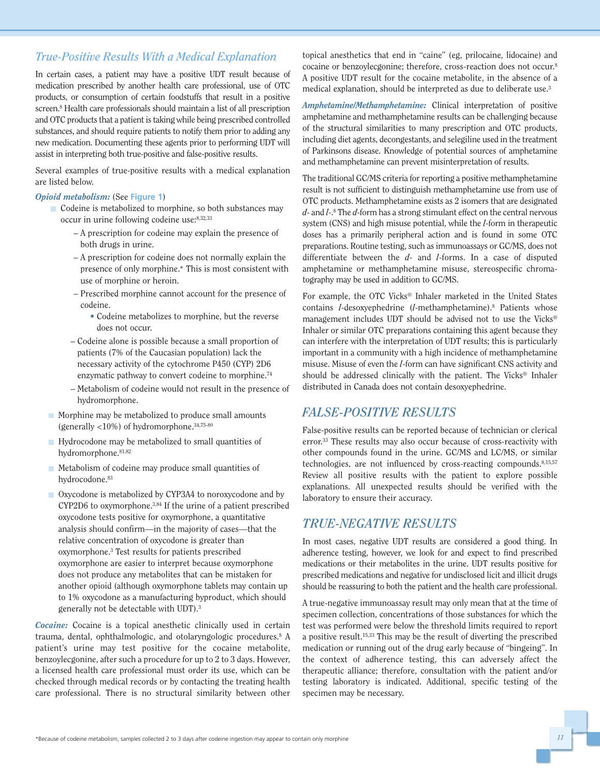#### *True-Positive Results With a Medical Explanation*

In certain cases, a patient may have a positive UDT result because of medication prescribed by another health care professional, use of OTC products, or consumption of certain foodstuffs that result in a positive screen.8 Health care professionals should maintain a list of all prescription and OTC products that a patient is taking while being prescribed controlled substances, and should require patients to notify them prior to adding any new medication. Documenting these agents prior to performing UDT will assist in interpreting both true-positive and false-positive results.

Several examples of true-positive results with a medical explanation are listed below.

#### *Opioid metabolism:* (See **Figure 1**)

- Codeine is metabolized to morphine, so both substances may occur in urine following codeine use:8,32,33
	- **–** A prescription for codeine may explain the presence of both drugs in urine.
	- **–** A prescription for codeine does not normally explain the presence of only morphine.\* This is most consistent with use of morphine or heroin.
	- **–** Prescribed morphine cannot account for the presence of codeine.
		- **•** Codeine metabolizes to morphine, but the reverse does not occur.
	- **–** Codeine alone is possible because a small proportion of patients (7% of the Caucasian population) lack the necessary activity of the cytochrome P450 (CYP) 2D6 enzymatic pathway to convert codeine to morphine.74
	- **–** Metabolism of codeine would not result in the presence of hydromorphone.
- Morphine may be metabolized to produce small amounts (generally <10%) of hydromorphone.34,75-80
- Hydrocodone may be metabolized to small quantities of hydromorphone.<sup>81,82</sup>
- $\blacksquare$  Metabolism of codeine may produce small quantities of hydrocodone.<sup>83</sup>
- Oxycodone is metabolized by CYP3A4 to noroxycodone and by CYP2D6 to oxymorphone.3,84 If the urine of a patient prescribed oxycodone tests positive for oxymorphone, a quantitative analysis should confirm—in the majority of cases—that the relative concentration of oxycodone is greater than oxymorphone.3 Test results for patients prescribed oxymorphone are easier to interpret because oxymorphone does not produce any metabolites that can be mistaken for another opioid (although oxymorphone tablets may contain up to 1% oxycodone as a manufacturing byproduct, which should generally not be detectable with UDT).3

*Cocaine:* Cocaine is a topical anesthetic clinically used in certain trauma, dental, ophthalmologic, and otolaryngologic procedures.8 A patient's urine may test positive for the cocaine metabolite, benzoylecgonine, after such a procedure for up to 2 to 3 days. However, a licensed health care professional must order its use, which can be checked through medical records or by contacting the treating health care professional. There is no structural similarity between other topical anesthetics that end in "caine" (eg, prilocaine, lidocaine) and cocaine or benzoylecgonine; therefore, cross-reaction does not occur.8 A positive UDT result for the cocaine metabolite, in the absence of a medical explanation, should be interpreted as due to deliberate use.3

*Amphetamine/Methamphetamine:* Clinical interpretation of positive amphetamine and methamphetamine results can be challenging because of the structural similarities to many prescription and OTC products, including diet agents, decongestants, and selegiline used in the treatment of Parkinsons disease. Knowledge of potential sources of amphetamine and methamphetamine can prevent misinterpretation of results.

The traditional GC/MS criteria for reporting a positive methamphetamine result is not sufficient to distinguish methamphetamine use from use of OTC products. Methamphetamine exists as 2 isomers that are designated *d*- and *l*-.8 The *d*-form has a strong stimulant effect on the central nervous system (CNS) and high misuse potential, while the *l*-form in therapeutic doses has a primarily peripheral action and is found in some OTC preparations. Routine testing, such as immunoassays or GC/MS, does not differentiate between the *d*- and *l*-forms. In a case of disputed amphetamine or methamphetamine misuse, stereospecific chromatography may be used in addition to GC/MS.

For example, the OTC Vicks® Inhaler marketed in the United States contains *l*-desoxyephedrine (*l*-methamphetamine).8 Patients whose management includes UDT should be advised not to use the Vicks® Inhaler or similar OTC preparations containing this agent because they can interfere with the interpretation of UDT results; this is particularly important in a community with a high incidence of methamphetamine misuse. Misuse of even the *l*-form can have significant CNS activity and should be addressed clinically with the patient. The Vicks® Inhaler distributed in Canada does not contain desoxyephedrine.

#### *FALSE-POSITIVE RESULTS*

False-positive results can be reported because of technician or clerical error.33 These results may also occur because of cross-reactivity with other compounds found in the urine. GC/MS and LC/MS, or similar technologies, are not influenced by cross-reacting compounds.<sup>8,15,57</sup> Review all positive results with the patient to explore possible explanations. All unexpected results should be verified with the laboratory to ensure their accuracy.

#### *TRUE-NEGATIVE RESULTS*

In most cases, negative UDT results are considered a good thing. In adherence testing, however, we look for and expect to find prescribed medications or their metabolites in the urine. UDT results positive for prescribed medications and negative for undisclosed licit and illicit drugs should be reassuring to both the patient and the health care professional.

A true-negative immunoassay result may only mean that at the time of specimen collection, concentrations of those substances for which the test was performed were below the threshold limits required to report a positive result.15,33 This may be the result of diverting the prescribed medication or running out of the drug early because of "bingeing". In the context of adherence testing, this can adversely affect the therapeutic alliance; therefore, consultation with the patient and/or testing laboratory is indicated. Additional, specific testing of the specimen may be necessary.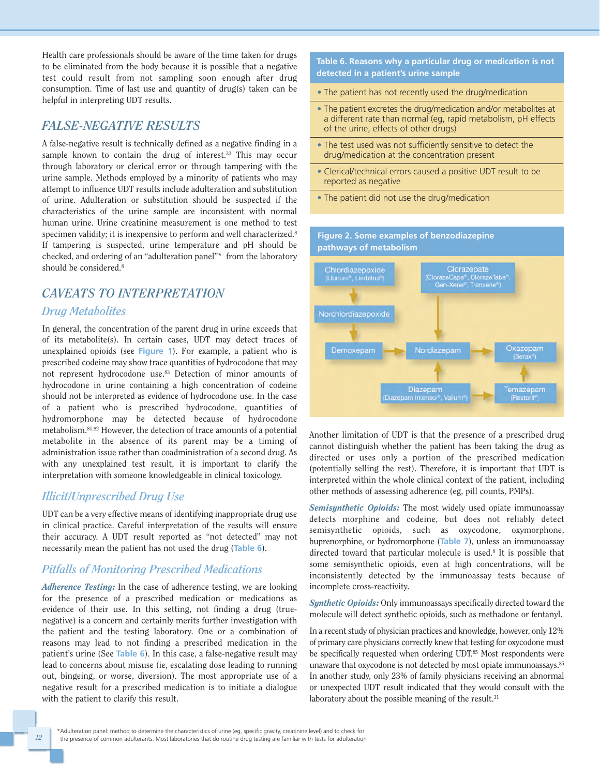Health care professionals should be aware of the time taken for drugs to be eliminated from the body because it is possible that a negative test could result from not sampling soon enough after drug consumption. Time of last use and quantity of drug(s) taken can be helpful in interpreting UDT results.

#### *FALSE-NEGATIVE RESULTS*

A false-negative result is technically defined as a negative finding in a sample known to contain the drug of interest.<sup>33</sup> This may occur through laboratory or clerical error or through tampering with the urine sample. Methods employed by a minority of patients who may attempt to influence UDT results include adulteration and substitution of urine. Adulteration or substitution should be suspected if the characteristics of the urine sample are inconsistent with normal human urine. Urine creatinine measurement is one method to test specimen validity; it is inexpensive to perform and well characterized.<sup>8</sup> If tampering is suspected, urine temperature and pH should be checked, and ordering of an "adulteration panel"\* from the laboratory should be considered.8

## *CAVEATS TO INTERPRETATION*

#### *Drug Metabolites*

In general, the concentration of the parent drug in urine exceeds that of its metabolite(s). In certain cases, UDT may detect traces of unexplained opioids (see **Figure 1**). For example, a patient who is prescribed codeine may show trace quantities of hydrocodone that may not represent hydrocodone use.83 Detection of minor amounts of hydrocodone in urine containing a high concentration of codeine should not be interpreted as evidence of hydrocodone use. In the case of a patient who is prescribed hydrocodone, quantities of hydromorphone may be detected because of hydrocodone metabolism.81,82 However, the detection of trace amounts of a potential metabolite in the absence of its parent may be a timing of administration issue rather than coadministration of a second drug. As with any unexplained test result, it is important to clarify the interpretation with someone knowledgeable in clinical toxicology.

#### *Illicit/Unprescribed Drug Use*

UDT can be a very effective means of identifying inappropriate drug use in clinical practice. Careful interpretation of the results will ensure their accuracy. A UDT result reported as "not detected" may not necessarily mean the patient has not used the drug (**Table 6**).

#### *Pitfalls of Monitoring Prescribed Medications*

*Adherence Testing:* In the case of adherence testing, we are looking for the presence of a prescribed medication or medications as evidence of their use. In this setting, not finding a drug (truenegative) is a concern and certainly merits further investigation with the patient and the testing laboratory. One or a combination of reasons may lead to not finding a prescribed medication in the patient's urine (See **Table 6**). In this case, a false-negative result may lead to concerns about misuse (ie, escalating dose leading to running out, bingeing, or worse, diversion). The most appropriate use of a negative result for a prescribed medication is to initiate a dialogue with the patient to clarify this result.

**Table 6. Reasons why a particular drug or medication is not detected in a patient's urine sample**

- The patient has not recently used the drug/medication
- The patient excretes the drug/medication and/or metabolites at a different rate than normal (eg, rapid metabolism, pH effects of the urine, effects of other drugs)
- The test used was not sufficiently sensitive to detect the drug/medication at the concentration present
- Clerical/technical errors caused a positive UDT result to be reported as negative
- The patient did not use the drug/medication

**Figure 2. Some examples of benzodiazepine**



Another limitation of UDT is that the presence of a prescribed drug cannot distinguish whether the patient has been taking the drug as directed or uses only a portion of the prescribed medication (potentially selling the rest). Therefore, it is important that UDT is interpreted within the whole clinical context of the patient, including other methods of assessing adherence (eg, pill counts, PMPs).

*Semisynthetic Opioids:* The most widely used opiate immunoassay detects morphine and codeine, but does not reliably detect semisynthetic opioids, such as oxycodone, oxymorphone, buprenorphine, or hydromorphone (**Table 7**), unless an immunoassay directed toward that particular molecule is used.8 It is possible that some semisynthetic opioids, even at high concentrations, will be inconsistently detected by the immunoassay tests because of incomplete cross-reactivity.

*Synthetic Opioids:* Only immunoassays specifically directed toward the molecule will detect synthetic opioids, such as methadone or fentanyl.

In a recent study of physician practices and knowledge, however, only 12% of primary care physicians correctly knew that testing for oxycodone must be specifically requested when ordering UDT.85 Most respondents were unaware that oxycodone is not detected by most opiate immunoassays.<sup>85</sup> In another study, only 23% of family physicians receiving an abnormal or unexpected UDT result indicated that they would consult with the laboratory about the possible meaning of the result.<sup>31</sup>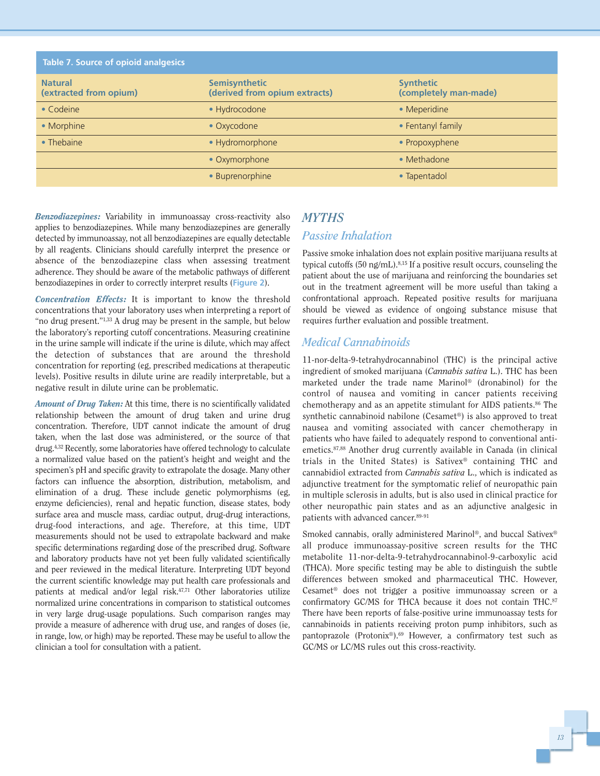| <b>Table 7. Source of opioid analgesics</b> |                                                       |                                           |
|---------------------------------------------|-------------------------------------------------------|-------------------------------------------|
| <b>Natural</b><br>(extracted from opium)    | <b>Semisynthetic</b><br>(derived from opium extracts) | <b>Synthetic</b><br>(completely man-made) |
| $\bullet$ Codeine                           | • Hydrocodone                                         | • Meperidine                              |
| • Morphine                                  | • Oxycodone                                           | • Fentanyl family                         |
| • Thebaine                                  | · Hydromorphone                                       | • Propoxyphene                            |
|                                             | • Oxymorphone                                         | • Methadone                               |
|                                             | · Buprenorphine                                       | • Tapentadol                              |

*Benzodiazepines:* Variability in immunoassay cross-reactivity also applies to benzodiazepines. While many benzodiazepines are generally detected by immunoassay, not all benzodiazepines are equally detectable by all reagents. Clinicians should carefully interpret the presence or absence of the benzodiazepine class when assessing treatment adherence. They should be aware of the metabolic pathways of different benzodiazepines in order to correctly interpret results (**Figure 2**).

*Concentration Effects:* It is important to know the threshold concentrations that your laboratory uses when interpreting a report of "no drug present."1,33 A drug may be present in the sample, but below the laboratory's reporting cutoff concentrations. Measuring creatinine in the urine sample will indicate if the urine is dilute, which may affect the detection of substances that are around the threshold concentration for reporting (eg, prescribed medications at therapeutic levels). Positive results in dilute urine are readily interpretable, but a negative result in dilute urine can be problematic.

*Amount of Drug Taken:* At this time, there is no scientifically validated relationship between the amount of drug taken and urine drug concentration. Therefore, UDT cannot indicate the amount of drug taken, when the last dose was administered, or the source of that drug.4,32 Recently, some laboratories have offered technology to calculate a normalized value based on the patient's height and weight and the specimen's pH and specific gravity to extrapolate the dosage. Many other factors can influence the absorption, distribution, metabolism, and elimination of a drug. These include genetic polymorphisms (eg, enzyme deficiencies), renal and hepatic function, disease states, body surface area and muscle mass, cardiac output, drug-drug interactions, drug-food interactions, and age. Therefore, at this time, UDT measurements should not be used to extrapolate backward and make specific determinations regarding dose of the prescribed drug. Software and laboratory products have not yet been fully validated scientifically and peer reviewed in the medical literature. Interpreting UDT beyond the current scientific knowledge may put health care professionals and patients at medical and/or legal risk.<sup>47,71</sup> Other laboratories utilize normalized urine concentrations in comparison to statistical outcomes in very large drug-usage populations. Such comparison ranges may provide a measure of adherence with drug use, and ranges of doses (ie, in range, low, or high) may be reported. These may be useful to allow the clinician a tool for consultation with a patient.

## *MYTHS Passive Inhalation*

Passive smoke inhalation does not explain positive marijuana results at typical cutoffs (50 ng/mL).<sup>8,15</sup> If a positive result occurs, counseling the patient about the use of marijuana and reinforcing the boundaries set out in the treatment agreement will be more useful than taking a confrontational approach. Repeated positive results for marijuana should be viewed as evidence of ongoing substance misuse that requires further evaluation and possible treatment.

#### *Medical Cannabinoids*

11-nor-delta-9-tetrahydrocannabinol (THC) is the principal active ingredient of smoked marijuana (*Cannabis sativa* L.). THC has been marketed under the trade name Marinol® (dronabinol) for the control of nausea and vomiting in cancer patients receiving chemotherapy and as an appetite stimulant for AIDS patients.86 The synthetic cannabinoid nabilone (Cesamet®) is also approved to treat nausea and vomiting associated with cancer chemotherapy in patients who have failed to adequately respond to conventional antiemetics.87,88 Another drug currently available in Canada (in clinical trials in the United States) is Sativex® containing THC and cannabidiol extracted from *Cannabis sativa* L., which is indicated as adjunctive treatment for the symptomatic relief of neuropathic pain in multiple sclerosis in adults, but is also used in clinical practice for other neuropathic pain states and as an adjunctive analgesic in patients with advanced cancer.89-91

Smoked cannabis, orally administered Marinol®, and buccal Sativex® all produce immunoassay-positive screen results for the THC metabolite 11-nor-delta-9-tetrahydrocannabinol-9-carboxylic acid (THCA). More specific testing may be able to distinguish the subtle differences between smoked and pharmaceutical THC. However, Cesamet® does not trigger a positive immunoassay screen or a confirmatory GC/MS for THCA because it does not contain THC.<sup>87</sup> There have been reports of false-positive urine immunoassay tests for cannabinoids in patients receiving proton pump inhibitors, such as pantoprazole (Protonix®).69 However, a confirmatory test such as GC/MS or LC/MS rules out this cross-reactivity.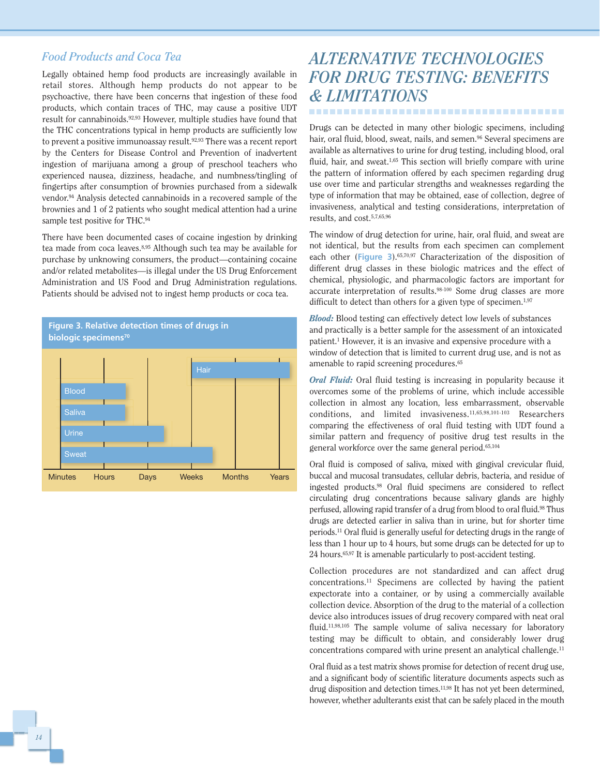#### *Food Products and Coca Tea*

Legally obtained hemp food products are increasingly available in retail stores. Although hemp products do not appear to be psychoactive, there have been concerns that ingestion of these food products, which contain traces of THC, may cause a positive UDT result for cannabinoids.92,93 However, multiple studies have found that the THC concentrations typical in hemp products are sufficiently low to prevent a positive immunoassay result.92,93 There was a recent report by the Centers for Disease Control and Prevention of inadvertent ingestion of marijuana among a group of preschool teachers who experienced nausea, dizziness, headache, and numbness/tingling of fingertips after consumption of brownies purchased from a sidewalk vendor.94 Analysis detected cannabinoids in a recovered sample of the brownies and 1 of 2 patients who sought medical attention had a urine sample test positive for THC.94

There have been documented cases of cocaine ingestion by drinking tea made from coca leaves.8,95 Although such tea may be available for purchase by unknowing consumers, the product—containing cocaine and/or related metabolites—is illegal under the US Drug Enforcement Administration and US Food and Drug Administration regulations. Patients should be advised not to ingest hemp products or coca tea.



## *ALTERNATIVE TECHNOLOGIES FOR DRUG TESTING: BENEFITS & LIMITATIONS* -------------------------------------

Drugs can be detected in many other biologic specimens, including hair, oral fluid, blood, sweat, nails, and semen.<sup>96</sup> Several specimens are available as alternatives to urine for drug testing, including blood, oral fluid, hair, and sweat.<sup>1,65</sup> This section will briefly compare with urine the pattern of information offered by each specimen regarding drug use over time and particular strengths and weaknesses regarding the type of information that may be obtained, ease of collection, degree of invasiveness, analytical and testing considerations, interpretation of results, and cost.5,7,65,96

The window of drug detection for urine, hair, oral fluid, and sweat are not identical, but the results from each specimen can complement each other (**Figure 3**).65,70,97 Characterization of the disposition of different drug classes in these biologic matrices and the effect of chemical, physiologic, and pharmacologic factors are important for accurate interpretation of results.<sup>98-100</sup> Some drug classes are more difficult to detect than others for a given type of specimen.<sup>1,97</sup>

*Blood:* Blood testing can effectively detect low levels of substances and practically is a better sample for the assessment of an intoxicated patient.1 However, it is an invasive and expensive procedure with a window of detection that is limited to current drug use, and is not as amenable to rapid screening procedures.65

*Oral Fluid:* Oral fluid testing is increasing in popularity because it overcomes some of the problems of urine, which include accessible collection in almost any location, less embarrassment, observable conditions, and limited invasiveness.11,65,98,101-103 Researchers comparing the effectiveness of oral fluid testing with UDT found a similar pattern and frequency of positive drug test results in the general workforce over the same general period.65,104

Oral fluid is composed of saliva, mixed with gingival crevicular fluid, buccal and mucosal transudates, cellular debris, bacteria, and residue of ingested products.98 Oral fluid specimens are considered to reflect circulating drug concentrations because salivary glands are highly perfused, allowing rapid transfer of a drug from blood to oral fluid.98 Thus drugs are detected earlier in saliva than in urine, but for shorter time periods.11 Oral fluid is generally useful for detecting drugs in the range of less than 1 hour up to 4 hours, but some drugs can be detected for up to 24 hours.65,97 It is amenable particularly to post-accident testing.

Collection procedures are not standardized and can affect drug concentrations.11 Specimens are collected by having the patient expectorate into a container, or by using a commercially available collection device. Absorption of the drug to the material of a collection device also introduces issues of drug recovery compared with neat oral fluid.<sup>11,98,105</sup> The sample volume of saliva necessary for laboratory testing may be difficult to obtain, and considerably lower drug concentrations compared with urine present an analytical challenge.11

Oral fluid as a test matrix shows promise for detection of recent drug use, and a significant body of scientific literature documents aspects such as drug disposition and detection times.<sup>11,98</sup> It has not yet been determined, however, whether adulterants exist that can be safely placed in the mouth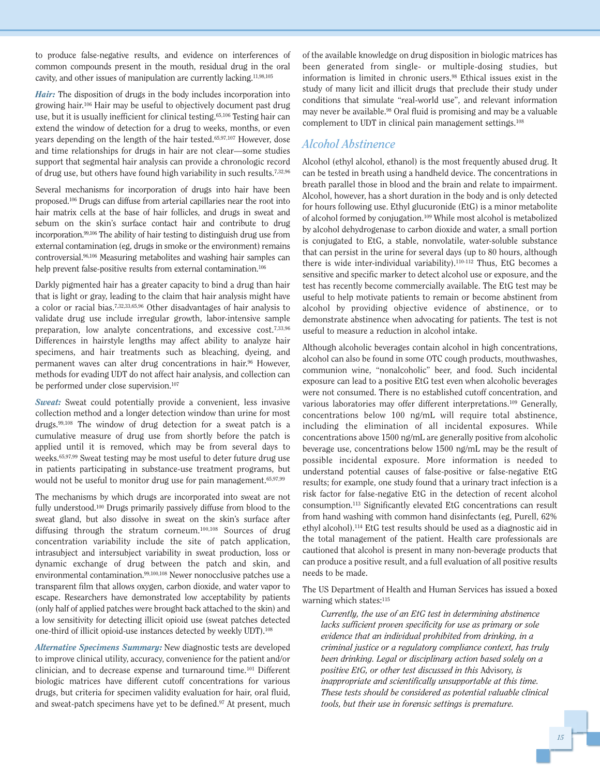to produce false-negative results, and evidence on interferences of common compounds present in the mouth, residual drug in the oral cavity, and other issues of manipulation are currently lacking.11,98,105

*Hair:* The disposition of drugs in the body includes incorporation into growing hair.106 Hair may be useful to objectively document past drug use, but it is usually inefficient for clinical testing.65,106 Testing hair can extend the window of detection for a drug to weeks, months, or even years depending on the length of the hair tested.65,97,107 However, dose and time relationships for drugs in hair are not clear—some studies support that segmental hair analysis can provide a chronologic record of drug use, but others have found high variability in such results.7,32,96

Several mechanisms for incorporation of drugs into hair have been proposed.106 Drugs can diffuse from arterial capillaries near the root into hair matrix cells at the base of hair follicles, and drugs in sweat and sebum on the skin's surface contact hair and contribute to drug incorporation.99,106 The ability of hair testing to distinguish drug use from external contamination (eg, drugs in smoke or the environment) remains controversial.96,106 Measuring metabolites and washing hair samples can help prevent false-positive results from external contamination.<sup>106</sup>

Darkly pigmented hair has a greater capacity to bind a drug than hair that is light or gray, leading to the claim that hair analysis might have a color or racial bias.7,32,33,65,96 Other disadvantages of hair analysis to validate drug use include irregular growth, labor-intensive sample preparation, low analyte concentrations, and excessive cost.<sup>7,33,96</sup> Differences in hairstyle lengths may affect ability to analyze hair specimens, and hair treatments such as bleaching, dyeing, and permanent waves can alter drug concentrations in hair.<sup>96</sup> However, methods for evading UDT do not affect hair analysis, and collection can be performed under close supervision.<sup>107</sup>

*Sweat:* Sweat could potentially provide a convenient, less invasive collection method and a longer detection window than urine for most drugs.99,108 The window of drug detection for a sweat patch is a cumulative measure of drug use from shortly before the patch is applied until it is removed, which may be from several days to weeks.65,97,99 Sweat testing may be most useful to deter future drug use in patients participating in substance-use treatment programs, but would not be useful to monitor drug use for pain management.<sup>65,97,99</sup>

The mechanisms by which drugs are incorporated into sweat are not fully understood.100 Drugs primarily passively diffuse from blood to the sweat gland, but also dissolve in sweat on the skin's surface after diffusing through the stratum corneum.100,108 Sources of drug concentration variability include the site of patch application, intrasubject and intersubject variability in sweat production, loss or dynamic exchange of drug between the patch and skin, and environmental contamination.99,100,108 Newer nonocclusive patches use a transparent film that allows oxygen, carbon dioxide, and water vapor to escape. Researchers have demonstrated low acceptability by patients (only half of applied patches were brought back attached to the skin) and a low sensitivity for detecting illicit opioid use (sweat patches detected one-third of illicit opioid-use instances detected by weekly UDT).108

*Alternative Specimens Summary:* New diagnostic tests are developed to improve clinical utility, accuracy, convenience for the patient and/or clinician, and to decrease expense and turnaround time.101 Different biologic matrices have different cutoff concentrations for various drugs, but criteria for specimen validity evaluation for hair, oral fluid, and sweat-patch specimens have yet to be defined.97 At present, much of the available knowledge on drug disposition in biologic matrices has been generated from single- or multiple-dosing studies, but information is limited in chronic users.98 Ethical issues exist in the study of many licit and illicit drugs that preclude their study under conditions that simulate "real-world use", and relevant information may never be available.<sup>98</sup> Oral fluid is promising and may be a valuable complement to UDT in clinical pain management settings.108

#### *Alcohol Abstinence*

Alcohol (ethyl alcohol, ethanol) is the most frequently abused drug. It can be tested in breath using a handheld device. The concentrations in breath parallel those in blood and the brain and relate to impairment. Alcohol, however, has a short duration in the body and is only detected for hours following use. Ethyl glucuronide (EtG) is a minor metabolite of alcohol formed by conjugation.109 While most alcohol is metabolized by alcohol dehydrogenase to carbon dioxide and water, a small portion is conjugated to EtG, a stable, nonvolatile, water-soluble substance that can persist in the urine for several days (up to 80 hours, although there is wide inter-individual variability).<sup>110-112</sup> Thus, EtG becomes a sensitive and specific marker to detect alcohol use or exposure, and the test has recently become commercially available. The EtG test may be useful to help motivate patients to remain or become abstinent from alcohol by providing objective evidence of abstinence, or to demonstrate abstinence when advocating for patients. The test is not useful to measure a reduction in alcohol intake.

Although alcoholic beverages contain alcohol in high concentrations, alcohol can also be found in some OTC cough products, mouthwashes, communion wine, "nonalcoholic" beer, and food. Such incidental exposure can lead to a positive EtG test even when alcoholic beverages were not consumed. There is no established cutoff concentration, and various laboratories may offer different interpretations.109 Generally, concentrations below 100 ng/mL will require total abstinence, including the elimination of all incidental exposures. While concentrations above 1500 ng/mL are generally positive from alcoholic beverage use, concentrations below 1500 ng/mL may be the result of possible incidental exposure. More information is needed to understand potential causes of false-positive or false-negative EtG results; for example, one study found that a urinary tract infection is a risk factor for false-negative EtG in the detection of recent alcohol consumption.113 Significantly elevated EtG concentrations can result from hand washing with common hand disinfectants (eg, Purell, 62% ethyl alcohol).114 EtG test results should be used as a diagnostic aid in the total management of the patient. Health care professionals are cautioned that alcohol is present in many non-beverage products that can produce a positive result, and a full evaluation of all positive results needs to be made.

The US Department of Health and Human Services has issued a boxed warning which states:<sup>115</sup>

*Currently, the use of an EtG test in determining abstinence lacks sufficient proven specificity for use as primary or sole evidence that an individual prohibited from drinking, in a criminal justice or a regulatory compliance context, has truly been drinking. Legal or disciplinary action based solely on a positive EtG, or other test discussed in this* Advisory*, is inappropriate and scientifically unsupportable at this time. These tests should be considered as potential valuable clinical tools, but their use in forensic settings is premature.*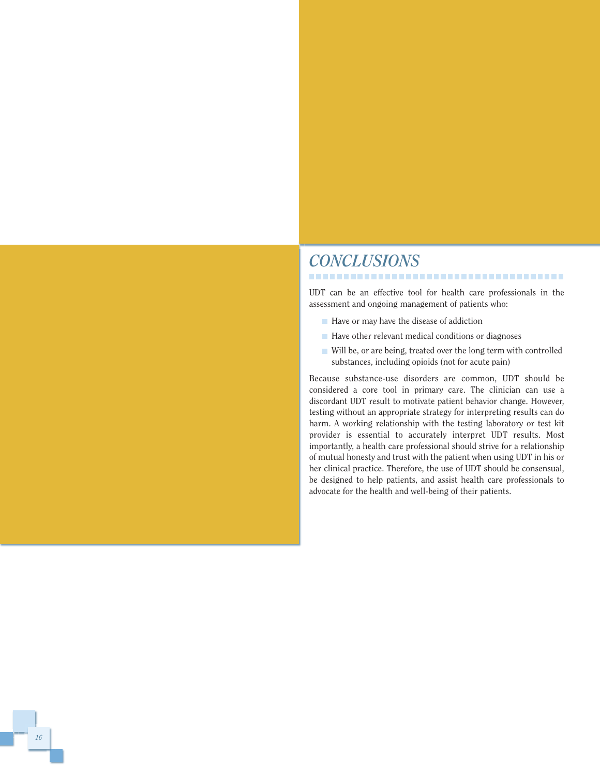## *CONCLUSIONS*

UDT can be an effective tool for health care professionals in the assessment and ongoing management of patients who:

,,,,,,,,,,,,,,,,,,,,,,,,,,,,,,,,,,,,,,

- $\blacksquare$  Have or may have the disease of addiction
- $\blacksquare$  Have other relevant medical conditions or diagnoses
- Will be, or are being, treated over the long term with controlled substances, including opioids (not for acute pain)

Because substance-use disorders are common, UDT should be considered a core tool in primary care. The clinician can use a discordant UDT result to motivate patient behavior change. However, testing without an appropriate strategy for interpreting results can do harm. A working relationship with the testing laboratory or test kit provider is essential to accurately interpret UDT results. Most importantly, a health care professional should strive for a relationship of mutual honesty and trust with the patient when using UDT in his or her clinical practice. Therefore, the use of UDT should be consensual, be designed to help patients, and assist health care professionals to advocate for the health and well-being of their patients.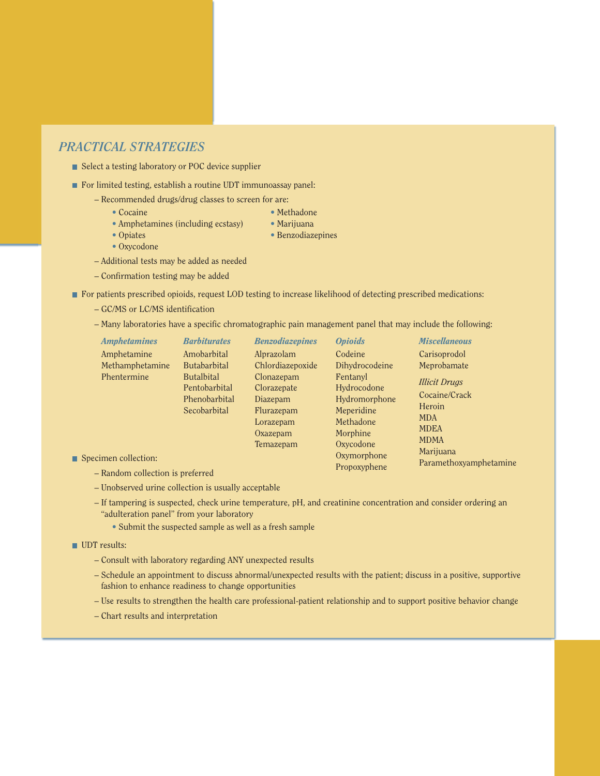#### *PRACTICAL STRATEGIES*

- Select a testing laboratory or POC device supplier
- For limited testing, establish a routine UDT immunoassay panel:
	- **–** Recommended drugs/drug classes to screen for are:
		-
		- Cocaine Methadone
		- **•** Amphetamines (including ecstasy) Marijuana
			-
		- Opiates Benzodiazepines
		- **•** Oxycodone
	- **–** Additional tests may be added as needed
	- **–** Confirmation testing may be added
- For patients prescribed opioids, request LOD testing to increase likelihood of detecting prescribed medications:
	- **–** GC/MS or LC/MS identification
	- **–** Many laboratories have a specific chromatographic pain management panel that may include the following:

| <b>Amphetamines</b> | <b>Barbiturates</b>                                                 | <b>Benzodiazepines</b>                                                       | <b>Opioids</b>                                                                                                                                                                                           | <b>Miscellaneous</b>                |
|---------------------|---------------------------------------------------------------------|------------------------------------------------------------------------------|----------------------------------------------------------------------------------------------------------------------------------------------------------------------------------------------------------|-------------------------------------|
| Amphetamine         | Amobarbital                                                         | Alprazolam                                                                   | Codeine                                                                                                                                                                                                  | Carisoprodol                        |
| Methamphetamine     | <b>Butabarbital</b>                                                 | Chlordiazepoxide                                                             | Dihydrocodeine                                                                                                                                                                                           | Meprobamate                         |
| Phentermine         | <b>Butalbital</b><br>Pentobarbital<br>Phenobarbital<br>Secobarbital | Clonazepam<br>Clorazepate<br>Diazepam<br>Flurazepam<br>Lorazepam<br>Oxazepam | Fentanyl<br><b>Illicit Drugs</b><br>Hydrocodone<br>Cocaine/Crack<br>Hydromorphone<br>Heroin<br>Meperidine<br><b>MDA</b><br>Methadone<br><b>MDEA</b><br>Morphine<br><b>MDMA</b><br>Oxycodone<br>Temazepam |                                     |
| imen collection:    |                                                                     |                                                                              | Oxymorphone<br>$D_{\text{non}}$                                                                                                                                                                          | Marijuana<br>Paramethoxyamphetamine |

Propoxyphene

- $\blacksquare$  Spec
	- **–** Random collection is preferred
	- **–** Unobserved urine collection is usually acceptable
	- **–** If tampering is suspected, check urine temperature, pH, and creatinine concentration and consider ordering an "adulteration panel" from your laboratory
		- **•** Submit the suspected sample as well as a fresh sample

**UDT** results:

- **–** Consult with laboratory regarding ANY unexpected results
- **–** Schedule an appointment to discuss abnormal/unexpected results with the patient; discuss in a positive, supportive fashion to enhance readiness to change opportunities
- **–** Use results to strengthen the health care professional-patient relationship and to support positive behavior change
- **–** Chart results and interpretation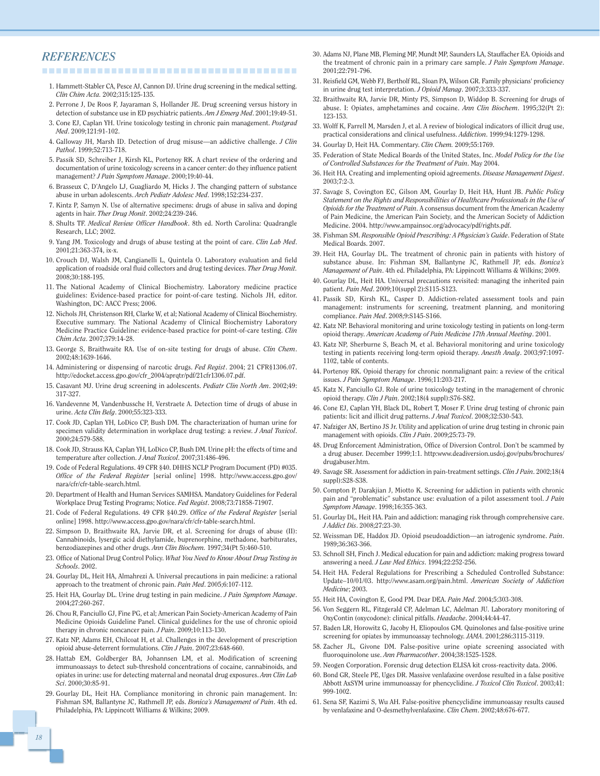#### *REFERENCES*

--------------------------------------

- 1. Hammett-Stabler CA, Pesce AJ, Cannon DJ. Urine drug screening in the medical setting. *Clin Chim Acta.* 2002;315:125-135.
- 2. Perrone J, De Roos F, Jayaraman S, Hollander JE. Drug screening versus history in detection of substance use in ED psychiatric patients. *Am J Emerg Med*. 2001;19:49-51.
- 3. Cone EJ, Caplan YH. Urine toxicology testing in chronic pain management. *Postgrad Med*. 2009;121:91-102.
- 4. Galloway JH, Marsh ID. Detection of drug misuse—an addictive challenge. *J Clin Pathol*. 1999;52:713-718.
- 5. Passik SD, Schreiber J, Kirsh KL, Portenoy RK. A chart review of the ordering and documentation of urine toxicology screens in a cancer center: do they influence patient management? *J Pain Symptom Manage*. 2000;19:40-44.
- 6. Brasseux C, D'Angelo LJ, Guagliardo M, Hicks J. The changing pattern of substance abuse in urban adolescents. *Arch Pediatr Adolesc Med*. 1998;152:234-237.
- 7. Kintz P, Samyn N. Use of alternative specimens: drugs of abuse in saliva and doping agents in hair. *Ther Drug Monit*. 2002;24:239-246.
- 8. Shults TF. *Medical Review Officer Handbook*. 8th ed. North Carolina: Quadrangle Research, LLC; 2002.
- 9. Yang JM. Toxicology and drugs of abuse testing at the point of care. *Clin Lab Med*. 2001;21:363-374, ix-x.
- 10. Crouch DJ, Walsh JM, Cangianelli L, Quintela O. Laboratory evaluation and field application of roadside oral fluid collectors and drug testing devices. *Ther Drug Monit.* 2008;30:188-195.
- 11. The National Academy of Clinical Biochemistry. Laboratory medicine practice guidelines: Evidence-based practice for point-of-care testing. Nichols JH, editor. Washington, DC: AACC Press; 2006.
- 12. Nichols JH, Christenson RH, Clarke W, et al; National Academy of Clinical Biochemistry. Executive summary. The National Academy of Clinical Biochemistry Laboratory Medicine Practice Guideline: evidence-based practice for point-of-care testing. *Clin Chim Acta*. 2007;379:14-28.
- 13. George S, Braithwaite RA. Use of on-site testing for drugs of abuse. *Clin Chem*. 2002;48:1639-1646.
- 14. Administering or dispensing of narcotic drugs. *Fed Regist*. 2004; 21 CFR§1306.07. http://edocket.access.gpo.gov/cfr\_2004/aprqtr/pdf/21cfr1306.07.pdf.
- 15. Casavant MJ. Urine drug screening in adolescents. *Pediatr Clin North Am*. 2002;49: 317-327.
- 16. Vandevenne M, Vandenbussche H, Verstraete A. Detection time of drugs of abuse in urine. *Acta Clin Belg*. 2000;55:323-333.
- 17. Cook JD, Caplan YH, LoDico CP, Bush DM. The characterization of human urine for specimen validity determination in workplace drug testing: a review. *J Anal Toxicol*. 2000;24:579-588.
- 18. Cook JD, Strauss KA, Caplan YH, LoDico CP, Bush DM. Urine pH: the effects of time and temperature after collection. *J Anal Toxicol*. 2007;31:486-496.
- 19. Code of Federal Regulations. 49 CFR §40. DHHS NCLP Program Document (PD) #035. *Office of the Federal Register* [serial online] 1998. http://www.access.gpo.gov/ nara/cfr/cfr-table-search.html.
- 20. Department of Health and Human Services SAMHSA. Mandatory Guidelines for Federal Workplace Drug Testing Programs; Notice. *Fed Regist*. 2008;73:71858-71907.
- 21. Code of Federal Regulations. 49 CFR §40.29. *Office of the Federal Register* [serial online] 1998. http://www.access.gpo.gov/nara/cfr/cfr-table-search.html.
- 22. Simpson D, Braithwaite RA, Jarvie DR, et al. Screening for drugs of abuse (II): Cannabinoids, lysergic acid diethylamide, buprenorphine, methadone, barbiturates, benzodiazepines and other drugs. *Ann Clin Biochem.* 1997;34(Pt 5):460-510.
- 23. Office of National Drug Control Policy. *What You Need to Know About Drug Testing in Schools*. 2002.
- 24. Gourlay DL, Heit HA, Almahrezi A. Universal precautions in pain medicine: a rational approach to the treatment of chronic pain. *Pain Med*. 2005;6:107-112.
- 25. Heit HA, Gourlay DL. Urine drug testing in pain medicine. *J Pain Symptom Manage*. 2004;27:260-267.
- 26. Chou R, Fanciullo GJ, Fine PG, et al; American Pain Society-American Academy of Pain Medicine Opioids Guideline Panel. Clinical guidelines for the use of chronic opioid therapy in chronic noncancer pain. *J Pain*. 2009;10:113-130.
- 27. Katz NP, Adams EH, Chilcoat H, et al. Challenges in the development of prescription opioid abuse-deterrent formulations. *Clin J Pain*. 2007;23:648-660.
- 28. Hattab EM, Goldberger BA, Johannsen LM, et al. Modification of screening immunoassays to detect sub-threshold concentrations of cocaine, cannabinoids, and opiates in urine: use for detecting maternal and neonatal drug exposures. *Ann Clin Lab Sci*. 2000;30:85-91.
- 29. Gourlay DL, Heit HA. Compliance monitoring in chronic pain management. In: Fishman SM, Ballantyne JC, Rathmell JP, eds. *Bonica's Management of Pain*. 4th ed. Philadelphia, PA: Lippincott Williams & Wilkins; 2009.
- 30. Adams NJ, Plane MB, Fleming MF, Mundt MP, Saunders LA, Stauffacher EA. Opioids and the treatment of chronic pain in a primary care sample. *J Pain Symptom Manage*. 2001;22:791-796.
- 31. Reisfield GM, Webb FJ, Bertholf RL, Sloan PA, Wilson GR. Family physicians' proficiency in urine drug test interpretation. *J Opioid Manag*. 2007;3:333-337.
- 32. Braithwaite RA, Jarvie DR, Minty PS, Simpson D, Widdop B. Screening for drugs of abuse. I: Opiates, amphetamines and cocaine. *Ann Clin Biochem*. 1995;32(Pt 2): 123-153.
- 33. Wolff K, Farrell M, Marsden J, et al. A review of biological indicators of illicit drug use, practical considerations and clinical usefulness. *Addiction*. 1999;94:1279-1298.
- 34. Gourlay D, Heit HA. Commentary. *Clin Chem.* 2009;55:1769.
- 35. Federation of State Medical Boards of the United States, Inc. *Model Policy for the Use of Controlled Substances for the Treatment of Pain*. May 2004.
- 36. Heit HA. Creating and implementing opioid agreements. *Disease Management Digest*. 2003;7:2-3.
- 37. Savage S, Covington EC, Gilson AM, Gourlay D, Heit HA, Hunt JB. *Public Policy Statement on the Rights and Responsibilities of Healthcare Professionals in the Use of Opioids for the Treatment of Pain*. A consensus document from the American Academy of Pain Medicine, the American Pain Society, and the American Society of Addiction Medicine. 2004. http://www.ampainsoc.org/advocacy/pdf/rights.pdf.
- 38. Fishman SM. *Responsible Opioid Prescribing: A Physician's Guide*. Federation of State Medical Boards. 2007.
- 39. Heit HA, Gourlay DL. The treatment of chronic pain in patients with history of substance abuse. In: Fishman SM, Ballantyne JC, Rathmell JP, eds. *Bonica's Management of Pain*. 4th ed. Philadelphia, PA: Lippincott Williams & Wilkins; 2009.
- 40. Gourlay DL, Heit HA. Universal precautions revisited: managing the inherited pain patient. *Pain Med*. 2009;10(suppl 2):S115-S123.
- 41. Passik SD, Kirsh KL, Casper D. Addiction-related assessment tools and pain management: instruments for screening, treatment planning, and monitoring compliance. *Pain Med*. 2008;9:S145-S166.
- 42. Katz NP. Behavioral monitoring and urine toxicology testing in patients on long-term opioid therapy. *American Academy of Pain Medicine 17th Annual Meeting*. 2001.
- 43. Katz NP, Sherburne S, Beach M, et al. Behavioral monitoring and urine toxicology testing in patients receiving long-term opioid therapy. *Anesth Analg*. 2003;97:1097- 1102, table of contents.
- 44. Portenoy RK. Opioid therapy for chronic nonmalignant pain: a review of the critical issues. *J Pain Symptom Manage*. 1996;11:203-217.
- 45. Katz N, Fanciullo GJ. Role of urine toxicology testing in the management of chronic opioid therapy. *Clin J Pain*. 2002;18(4 suppl):S76-S82.
- 46. Cone EJ, Caplan YH, Black DL, Robert T, Moser F. Urine drug testing of chronic pain patients: licit and illicit drug patterns. *J Anal Toxicol*. 2008;32:530-543.
- 47. Nafziger AN, Bertino JS Jr. Utility and application of urine drug testing in chronic pain management with opioids. *Clin J Pain*. 2009;25:73-79.
- 48. Drug Enforcement Administration, Office of Diversion Control. Don't be scammed by a drug abuser. December 1999;1:1. http:www.deadiversion.usdoj.gov/pubs/brochures/ drugabuser.htm.
- 49. Savage SR. Assessment for addiction in pain-treatment settings. *Clin J Pain*. 2002;18(4 suppl):S28-S38.
- 50. Compton P, Darakjian J, Miotto K. Screening for addiction in patients with chronic pain and "problematic" substance use: evaluation of a pilot assessment tool. *J Pain Symptom Manage*. 1998;16:355-363.
- 51. Gourlay DL, Heit HA. Pain and addiction: managing risk through comprehensive care. *J Addict Dis*. 2008;27:23-30.
- 52. Weissman DE, Haddox JD. Opioid pseudoaddiction—an iatrogenic syndrome. *Pain*. 1989;36:363-366.
- 53. Schnoll SH, Finch J. Medical education for pain and addiction: making progress toward answering a need. *J Law Med Ethics*. 1994;22:252-256.
- 54. Heit HA. Federal Regulations for Prescribing a Scheduled Controlled Substance: Update–10/01/03. http://www.asam.org/pain.html. *American Society of Addiction Medicine*; 2003.
- 55. Heit HA, Covington E, Good PM. Dear DEA. *Pain Med*. 2004;5:303-308.
- 56. Von Seggern RL, Fitzgerald CP, Adelman LC, Adelman JU. Laboratory monitoring of OxyContin (oxycodone): clinical pitfalls. *Headache*. 2004;44:44-47.
- 57. Baden LR, Horowitz G, Jacoby H, Eliopoulos GM. Quinolones and false-positive urine screening for opiates by immunoassay technology. *JAMA*. 2001;286:3115-3119.
- 58. Zacher JL, Givone DM. False-positive urine opiate screening associated with fluoroquinolone use. *Ann Pharmacother*. 2004;38:1525-1528.
- 59. Neogen Corporation. Forensic drug detection ELISA kit cross-reactivity data. 2006.
- 60. Bond GR, Steele PE, Uges DR. Massive venlafaxine overdose resulted in a false positive Abbott AxSYM urine immunoassay for phencyclidine. *J Toxicol Clin Toxicol*. 2003;41: 999-1002.
- 61. Sena SF, Kazimi S, Wu AH. False-positive phencyclidine immunoassay results caused by venlafaxine and O-desmethylvenlafaxine. *Clin Chem*. 2002;48:676-677.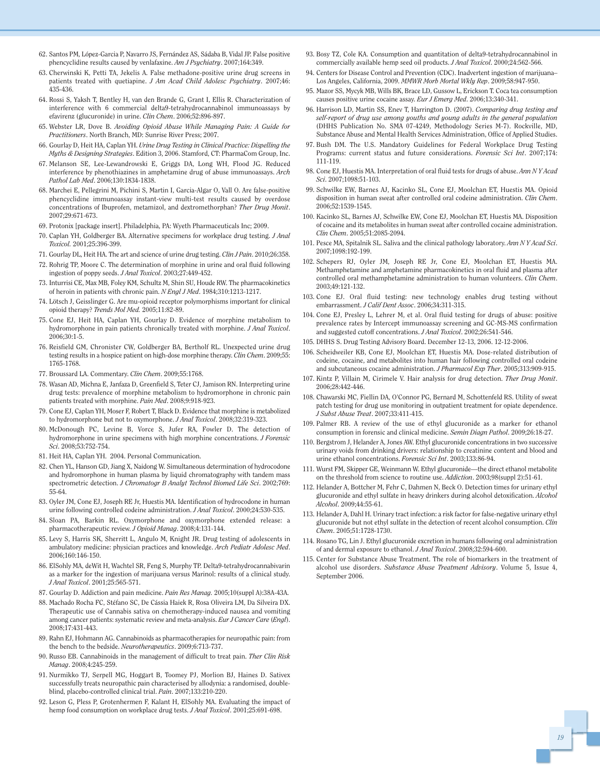- 62. Santos PM, López-Garcia P, Navarro JS, Fernández AS, Sádaba B, Vidal JP. False positive phencyclidine results caused by venlafaxine. *Am J Psychiatry*. 2007;164:349.
- 63. Cherwinski K, Petti TA, Jekelis A. False methadone-positive urine drug screens in patients treated with quetiapine. *J Am Acad Child Adolesc Psychiatry*. 2007;46: 435-436.
- 64. Rossi S, Yaksh T, Bentley H, van den Brande G, Grant I, Ellis R. Characterization of interference with 6 commercial delta9-tetrahydrocannabinol immunoassays by efavirenz (glucuronide) in urine. *Clin Chem*. 2006;52:896-897.
- 65. Webster LR, Dove B. *Avoiding Opioid Abuse While Managing Pain: A Guide for Practitioners*. North Branch, MD: Sunrise River Press; 2007.
- 66. Gourlay D, Heit HA, Caplan YH. *Urine Drug Testing in Clinical Practice: Dispelling the Myths & Designing Strategies*. Edition 3, 2006. Stamford, CT: PharmaCom Group, Inc.
- 67. Melanson SE, Lee-Lewandrowski E, Griggs DA, Long WH, Flood JG. Reduced interference by phenothiazines in amphetamine drug of abuse immunoassays. *Arch Pathol Lab Med*. 2006;130:1834-1838.
- 68. Marchei E, Pellegrini M, Pichini S, Martin I, Garcia-Algar O, Vall O. Are false-positive phencyclidine immunoassay instant-view multi-test results caused by overdose concentrations of Ibuprofen, metamizol, and dextromethorphan? *Ther Drug Monit*. 2007;29:671-673.
- 69. Protonix [package insert]. Philadelphia, PA: Wyeth Pharmaceuticals Inc; 2009.
- 70. Caplan YH, Goldberger BA. Alternative specimens for workplace drug testing. *J Anal Toxicol.* 2001;25:396-399.
- 71. Gourlay DL, Heit HA. The art and science of urine drug testing. *Clin J Pain*. 2010;26:358. 72. Rohrig TP, Moore C. The determination of morphine in urine and oral fluid following ingestion of poppy seeds. *J Anal Toxicol*. 2003;27:449-452.
- 73. Inturrisi CE, Max MB, Foley KM, Schultz M, Shin SU, Houde RW. The pharmacokinetics of heroin in patients with chronic pain. *N Engl J Med*. 1984;310:1213-1217.
- 74. Lötsch J, Geisslinger G. Are mu-opioid receptor polymorphisms important for clinical opioid therapy? *Trends Mol Med.* 2005;11:82-89.
- 75. Cone EJ, Heit HA, Caplan YH, Gourlay D. Evidence of morphine metabolism to hydromorphone in pain patients chronically treated with morphine. *J Anal Toxicol*. 2006;30:1-5.
- 76. Reisfield GM, Chronister CW, Goldberger BA, Bertholf RL. Unexpected urine drug testing results in a hospice patient on high-dose morphine therapy. *Clin Chem*. 2009;55: 1765-1768.
- 77. Broussard LA. Commentary. *Clin Chem*. 2009;55:1768.
- 78. Wasan AD, Michna E, Janfaza D, Greenfield S, Teter CJ, Jamison RN. Interpreting urine drug tests: prevalence of morphine metabolism to hydromorphone in chronic pain patients treated with morphine. *Pain Med*. 2008;9:918-923.
- 79. Cone EJ, Caplan YH, Moser F, Robert T, Black D. Evidence that morphine is metabolized to hydromorphone but not to oxymorphone. *J Anal Toxicol*. 2008;32:319-323.
- 80. McDonough PC, Levine B, Vorce S, Jufer RA, Fowler D. The detection of hydromorphone in urine specimens with high morphine concentrations. *J Forensic Sci*. 2008;53:752-754.
- 81. Heit HA, Caplan YH. 2004. Personal Communication.
- 82. Chen YL, Hanson GD, Jiang X, Naidong W. Simultaneous determination of hydrocodone and hydromorphone in human plasma by liquid chromatography with tandem mass spectrometric detection. *J Chromatogr B Analyt Technol Biomed Life Sci*. 2002;769: 55-64.
- 83. Oyler JM, Cone EJ, Joseph RE Jr, Huestis MA. Identification of hydrocodone in human urine following controlled codeine administration. *J Anal Toxicol*. 2000;24:530-535.
- 84. Sloan PA, Barkin RL. Oxymorphone and oxymorphone extended release: a pharmacotherapeutic review. *J Opioid Manag*. 2008;4:131-144.
- 85. Levy S, Harris SK, Sherritt L, Angulo M, Knight JR. Drug testing of adolescents in ambulatory medicine: physician practices and knowledge. *Arch Pediatr Adolesc Med*. 2006;160:146-150.
- 86. ElSohly MA, deWit H, Wachtel SR, Feng S, Murphy TP. Delta9-tetrahydrocannabivarin as a marker for the ingestion of marijuana versus Marinol: results of a clinical study. *J Anal Toxicol*. 2001;25:565-571.
- 87. Gourlay D. Addiction and pain medicine. *Pain Res Manag.* 2005;10(suppl A):38A-43A.
- 88. Machado Rocha FC, Stéfano SC, De Cássia Haiek R, Rosa Oliveira LM, Da Silveira DX. Therapeutic use of Cannabis sativa on chemotherapy-induced nausea and vomiting among cancer patients: systematic review and meta-analysis. *Eur J Cancer Care* (*Engl*). 2008;17:431-443.
- 89. Rahn EJ, Hohmann AG. Cannabinoids as pharmacotherapies for neuropathic pain: from the bench to the bedside. *Neurotherapeutics*. 2009;6:713-737.
- 90. Russo EB. Cannabinoids in the management of difficult to treat pain. *Ther Clin Risk Manag*. 2008;4:245-259.
- 91. Nurmikko TJ, Serpell MG, Hoggart B, Toomey PJ, Morlion BJ, Haines D. Sativex successfully treats neuropathic pain characterised by allodynia: a randomised, doubleblind, placebo-controlled clinical trial. *Pain*. 2007;133:210-220.
- 92. Leson G, Pless P, Grotenhermen F, Kalant H, ElSohly MA. Evaluating the impact of hemp food consumption on workplace drug tests. *J Anal Toxicol*. 2001;25:691-698.
- 93. Bosy TZ, Cole KA. Consumption and quantitation of delta9-tetrahydrocannabinol in commercially available hemp seed oil products. *J Anal Toxicol*. 2000;24:562-566.
- 94. Centers for Disease Control and Prevention (CDC). Inadvertent ingestion of marijuana– Los Angeles, California, 2009. *MMWR Morb Mortal Wkly Rep*. 2009;58:947-950.
- 95. Mazor SS, Mycyk MB, Wills BK, Brace LD, Gussow L, Erickson T. Coca tea consumption causes positive urine cocaine assay. *Eur J Emerg Med*. 2006;13:340-341.
- 96. Harrison LD, Martin SS, Enev T, Harrington D. (2007). *Comparing drug testing and self-report of drug use among youths and young adults in the general population* (DHHS Publication No. SMA 07-4249, Methodology Series M-7). Rockville, MD, Substance Abuse and Mental Health Services Administration, Office of Applied Studies.
- 97. Bush DM. The U.S. Mandatory Guidelines for Federal Workplace Drug Testing Programs: current status and future considerations. *Forensic Sci Int*. 2007;174: 111-119.
- 98. Cone EJ, Huestis MA. Interpretation of oral fluid tests for drugs of abuse. *Ann N Y Acad Sci*. 2007;1098:51-103.
- 99. Schwilke EW, Barnes AJ, Kacinko SL, Cone EJ, Moolchan ET, Huestis MA. Opioid disposition in human sweat after controlled oral codeine administration. *Clin Chem*. 2006;52:1539-1545.
- 100. Kacinko SL, Barnes AJ, Schwilke EW, Cone EJ, Moolchan ET, Huestis MA. Disposition of cocaine and its metabolites in human sweat after controlled cocaine administration. *Clin Chem*. 2005;51:2085-2094.
- 101. Pesce MA, Spitalnik SL. Saliva and the clinical pathology laboratory. *Ann N Y Acad Sci*. 2007;1098:192-199.
- 102. Schepers RJ, Oyler JM, Joseph RE Jr, Cone EJ, Moolchan ET, Huestis MA. Methamphetamine and amphetamine pharmacokinetics in oral fluid and plasma after controlled oral methamphetamine administration to human volunteers. *Clin Chem*. 2003;49:121-132.
- 103. Cone EJ. Oral fluid testing: new technology enables drug testing without embarrassment. *J Calif Dent Assoc*. 2006;34:311-315.
- 104. Cone EJ, Presley L, Lehrer M, et al. Oral fluid testing for drugs of abuse: positive prevalence rates by Intercept immunoassay screening and GC-MS-MS confirmation and suggested cutoff concentrations. *J Anal Toxicol*. 2002;26:541-546.
- 105. DHHS S. Drug Testing Advisory Board. December 12-13, 2006. 12-12-2006.
- 106. Scheidweiler KB, Cone EJ, Moolchan ET, Huestis MA. Dose-related distribution of codeine, cocaine, and metabolites into human hair following controlled oral codeine and subcutaneous cocaine administration. *J Pharmacol Exp Ther*. 2005;313:909-915.
- 107. Kintz P, Villain M, Cirimele V. Hair analysis for drug detection. *Ther Drug Monit*. 2006;28:442-446.
- 108. Chawarski MC, Fiellin DA, O'Connor PG, Bernard M, Schottenfeld RS. Utility of sweat patch testing for drug use monitoring in outpatient treatment for opiate dependence. *J Subst Abuse Treat*. 2007;33:411-415.
- 109. Palmer RB. A review of the use of ethyl glucuronide as a marker for ethanol consumption in forensic and clinical medicine. *Semin Diagn Pathol*. 2009;26:18-27.
- 110. Bergstrom J, Helander A, Jones AW. Ethyl glucuronide concentrations in two successive urinary voids from drinking drivers: relationship to creatinine content and blood and urine ethanol concentrations. *Forensic Sci Int*. 2003;133:86-94.
- 111. Wurst FM, Skipper GE, Weinmann W. Ethyl glucuronide—the direct ethanol metabolite on the threshold from science to routine use. *Addiction*. 2003;98(suppl 2):51-61.
- 112. Helander A, Bottcher M, Fehr C, Dahmen N, Beck O. Detection times for urinary ethyl glucuronide and ethyl sulfate in heavy drinkers during alcohol detoxification. *Alcohol Alcohol*. 2009;44:55-61.
- 113. Helander A, Dahl H. Urinary tract infection: a risk factor for false-negative urinary ethyl glucuronide but not ethyl sulfate in the detection of recent alcohol consumption. *Clin Chem*. 2005;51:1728-1730.
- 114. Rosano TG, Lin J. Ethyl glucuronide excretion in humans following oral administration of and dermal exposure to ethanol. *J Anal Toxicol*. 2008;32:594-600.
- 115. Center for Substance Abuse Treatment. The role of biomarkers in the treatment of alcohol use disorders. *Substance Abuse Treatment Advisory*. Volume 5, Issue 4, September 2006.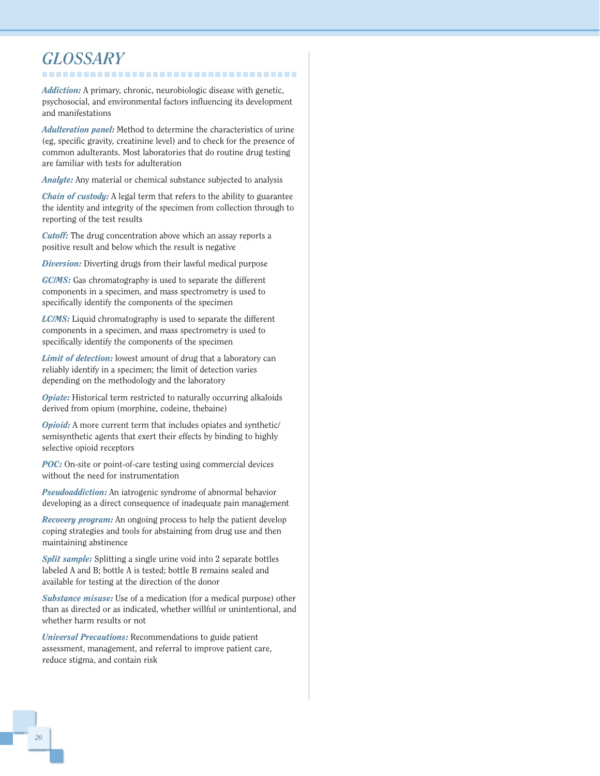#### *GLOSSARY* --------------------------------------

*Addiction:* A primary, chronic, neurobiologic disease with genetic, psychosocial, and environmental factors influencing its development and manifestations

*Adulteration panel:* Method to determine the characteristics of urine (eg, specific gravity, creatinine level) and to check for the presence of common adulterants. Most laboratories that do routine drug testing are familiar with tests for adulteration

*Analyte:* Any material or chemical substance subjected to analysis

*Chain of custody:* A legal term that refers to the ability to guarantee the identity and integrity of the specimen from collection through to reporting of the test results

*Cutoff:* The drug concentration above which an assay reports a positive result and below which the result is negative

*Diversion:* Diverting drugs from their lawful medical purpose

*GC/MS:* Gas chromatography is used to separate the different components in a specimen, and mass spectrometry is used to specifically identify the components of the specimen

*LC/MS:* Liquid chromatography is used to separate the different components in a specimen, and mass spectrometry is used to specifically identify the components of the specimen

*Limit of detection:* lowest amount of drug that a laboratory can reliably identify in a specimen; the limit of detection varies depending on the methodology and the laboratory

*Opiate:* Historical term restricted to naturally occurring alkaloids derived from opium (morphine, codeine, thebaine)

*Opioid:* A more current term that includes opiates and synthetic/ semisynthetic agents that exert their effects by binding to highly selective opioid receptors

*POC:* On-site or point-of-care testing using commercial devices without the need for instrumentation

*Pseudoaddiction:* An iatrogenic syndrome of abnormal behavior developing as a direct consequence of inadequate pain management

*Recovery program:* An ongoing process to help the patient develop coping strategies and tools for abstaining from drug use and then maintaining abstinence

*Split sample:* Splitting a single urine void into 2 separate bottles labeled A and B; bottle A is tested; bottle B remains sealed and available for testing at the direction of the donor

*Substance misuse:* Use of a medication (for a medical purpose) other than as directed or as indicated, whether willful or unintentional, and whether harm results or not

*Universal Precautions:* Recommendations to guide patient assessment, management, and referral to improve patient care, reduce stigma, and contain risk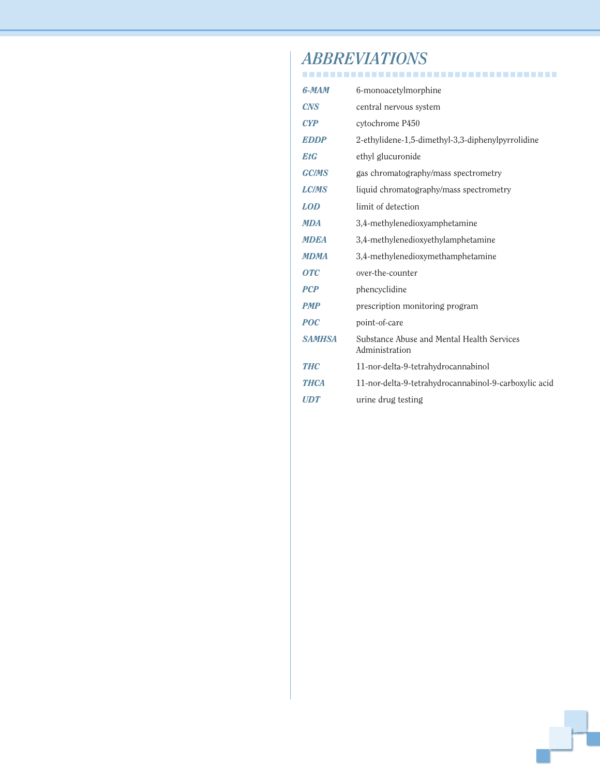## *ABBREVIATIONS*

| 6-MAM            | 6-monoacetylmorphine                                         |
|------------------|--------------------------------------------------------------|
| <b>CNS</b>       | central nervous system                                       |
| CYP              | cytochrome P450                                              |
| <b>EDDP</b>      | 2-ethylidene-1,5-dimethyl-3,3-diphenylpyrrolidine            |
| <b>EtG</b>       | ethyl glucuronide                                            |
| <b>GC/MS</b>     | gas chromatography/mass spectrometry                         |
| <b>LC/MS</b>     | liquid chromatography/mass spectrometry                      |
| <b>LOD</b>       | limit of detection                                           |
| <b>MDA</b>       | 3,4-methylenedioxyamphetamine                                |
| <b>MDEA</b>      | 3,4-methylenedioxyethylamphetamine                           |
| <b>MDMA</b>      | 3,4-methylenedioxymethamphetamine                            |
| $\overline{OTC}$ | over-the-counter                                             |
| <b>PCP</b>       | phencyclidine                                                |
| <b>PMP</b>       | prescription monitoring program                              |
| <b>POC</b>       | point-of-care                                                |
| <b>SAMHSA</b>    | Substance Abuse and Mental Health Services<br>Administration |
| <b>THC</b>       | 11-nor-delta-9-tetrahydrocannabinol                          |
| <b>THCA</b>      | 11-nor-delta-9-tetrahydrocannabinol-9-carboxylic acid        |
| <b>UDT</b>       | urine drug testing                                           |